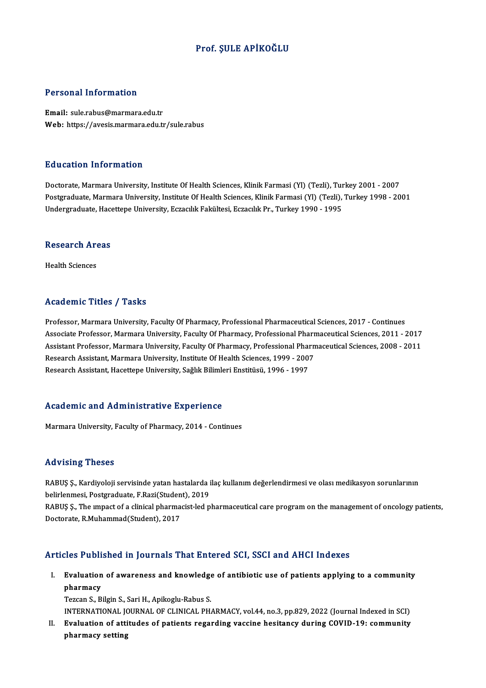### Prof. ŞULE APİKOĞLU

#### Personal Information

Email: sule.rabus@marmara.edu.tr Web: https://avesis.marmara.edu.tr/sule.rabus

#### Education Information

Doctorate, Marmara University, Institute Of Health Sciences, Klinik Farmasi (Yl) (Tezli), Turkey 2001 - 2007 Postgraduate, Marmara University, Institute Of Health Sciences, Klinik Farmasi (Yl) (Tezli), Turkey 1998 - 2001 Undergraduate, Hacettepe University, Eczacılık Fakültesi, Eczacılık Pr., Turkey 1990 - 1995

## ondergraduate, nace<br>Research Areas R<mark>esearch Ar</mark><br>Health Sciences

## Academic Titles / Tasks

Professor, Marmara University, Faculty Of Pharmacy, Professional Pharmaceutical Sciences, 2017 - Continues Associate Article 7 Tubate<br>Professor, Marmara University, Faculty Of Pharmacy, Professional Pharmaceutical Sciences, 2017 - Continues<br>Associate Professor, Marmara University, Faculty Of Pharmacy, Professional Pharmaceutica Professor, Marmara University, Faculty Of Pharmacy, Professional Pharmaceutical Sciences, 2017 - Continues<br>Associate Professor, Marmara University, Faculty Of Pharmacy, Professional Pharmaceutical Sciences, 2011 - 2017<br>Ass Associate Professor, Marmara University, Faculty Of Pharmacy, Professional Pharm<br>Assistant Professor, Marmara University, Faculty Of Pharmacy, Professional Pharm<br>Research Assistant, Marmara University, Institute Of Health Assistant Professor, Marmara University, Faculty Of Pharmacy, Professional Pharmaceutical Sciences, 2008 - 2011<br>Research Assistant, Marmara University, Institute Of Health Sciences, 1999 - 2007<br>Research Assistant, Hacettep

# Research Assistant, Hacettepe University, Saglik Billinie<br>Academic and Administrative Experience

Academic and Administrative Experience<br>Marmara University, Faculty of Pharmacy, 2014 - Continues Marmara University, Faculty of Pharmacy, 2014 - Continues<br>Advising Theses

Advising Theses<br>RABUŞ Ş., Kardiyoloji servisinde yatan hastalarda ilaç kullanım değerlendirmesi ve olası medikasyon sorunlarının<br>helirlenmesi, Bestaraduata F.Bagi(Student), 2019 raa vienny missos<br>RABUŞ Ş., Kardiyoloji servisinde yatan hastalarda i<br>belirlenmesi, Postgraduate, F.Razi(Student), 2019<br>BABUS S., The wreet of a clinical pharmacist, led.p belirlenmesi, Postgraduate, F.Razi(Student), 2019

RABUŞ Ş., The impact of a clinical pharmacist-led pharmaceutical care program on the management of oncology patients,<br>Doctorate, R.Muhammad(Student), 2017

#### Articles Published in Journals That Entered SCI, SSCI and AHCI Indexes

rticles Published in Journals That Entered SCI, SSCI and AHCI Indexes<br>I. Evaluation of awareness and knowledge of antibiotic use of patients applying to a community<br> Evaluation<br>Pharmacy<br>Terson S. B pharmacy<br>Tezcan S., Bilgin S., Sari H., Apikoglu-Rabus S. pharmacy<br>Tezcan S., Bilgin S., Sari H., Apikoglu-Rabus S.<br>INTERNATIONAL JOURNAL OF CLINICAL PHARMACY, vol.44, no.3, pp.829, 2022 (Journal Indexed in SCI)<br>Evaluation of attitudes of nationts reserding vossine besitensy duri

Tezcan S., Bilgin S., Sari H., Apikoglu-Rabus S.<br>INTERNATIONAL JOURNAL OF CLINICAL PHARMACY, vol.44, no.3, pp.829, 2022 (Journal Indexed in SCI)<br>II. Evaluation of attitudes of patients regarding vaccine hesitancy during CO INTERNATIONAL JO<br>Evaluation of atti<br>pharmacy setting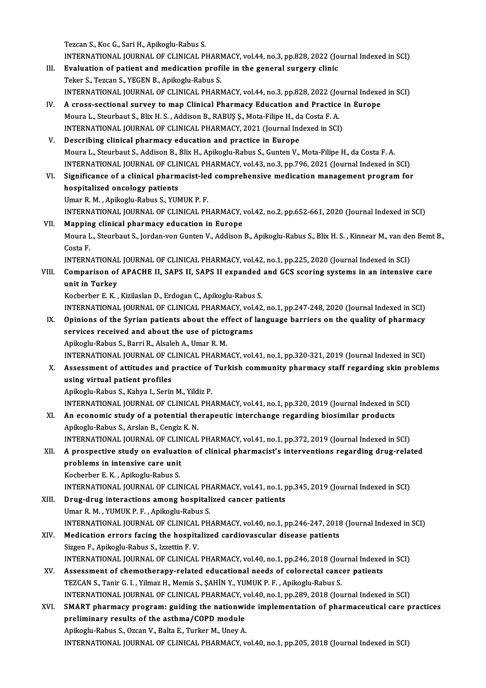Tezcan S., Koc G., Sari H., Apikoglu-Rabus S.

Tezcan S., Koc G., Sari H., Apikoglu-Rabus S.<br>INTERNATIONAL JOURNAL OF CLINICAL PHARMACY, vol.44, no.3, pp.828, 2022 (Journal Indexed in SCI)<br>Evaluation of nationt and modisation nuofile in the general surgeny clinic Tezcan S., Koc G., Sari H., Apikoglu-Rabus S.<br>INTERNATIONAL JOURNAL OF CLINICAL PHARMACY, vol.44, no.3, pp.828, 2022 (Jo<br>III. Evaluation of patient and medication profile in the general surgery clinic<br>Teken S. Tergen S. VE INTERNATIONAL JOURNAL OF CLINICAL PHARI<br>Evaluation of patient and medication profi<br>Teker S., Tezcan S., YEGEN B., Apikoglu-Rabus S.<br>INTERNATIONAL JOURNAL OF CLINICAL PHARI

- III. Evaluation of patient and medication profile in the general surgery clinic<br>Teker S., Tezcan S., YEGEN B., Apikoglu-Rabus S.<br>INTERNATIONAL JOURNAL OF CLINICAL PHARMACY, vol.44, no.3, pp.828, 2022 (Journal Indexed in SC Teker S., Tezcan S., YEGEN B., Apikoglu-Rabus S.<br>INTERNATIONAL JOURNAL OF CLINICAL PHARMACY, vol.44, no.3, pp.828, 2022 (Journal Indexe<br>IV. A cross-sectional survey to map Clinical Pharmacy Education and Practice in Europe
- Moura L., Steurbaut S., Blix H. S. , Addison B., RABUŞ Ş., Mota-Filipe H., da Costa F. A.<br>INTERNATIONAL JOURNAL OF CLINICAL PHARMACY, 2021 (Journal Indexed in SCI) A cross-sectional survey to map Clinical Pharmacy Education and Practice<br>Moura L., Steurbaut S., Blix H. S. , Addison B., RABUŞ Ş., Mota-Filipe H., da Costa F. A.<br>INTERNATIONAL JOURNAL OF CLINICAL PHARMACY, 2021 (Journal I
- V. Describing clinical pharmacy education and practice in Europe INTERNATIONAL JOURNAL OF CLINICAL PHARMACY, 2021 (Journal Indexed in SCI)<br>Describing clinical pharmacy education and practice in Europe<br>Moura L., Steurbaut S., Addison B., Blix H., Apikoglu-Rabus S., Gunten V., Mota-Filipe Describing clinical pharmacy education and practice in Europe<br>Moura L., Steurbaut S., Addison B., Blix H., Apikoglu-Rabus S., Gunten V., Mota-Filipe H., da Costa F. A.<br>INTERNATIONAL JOURNAL OF CLINICAL PHARMACY, vol.43, no Moura L., Steurbaut S., Addison B., Blix H., Apikoglu-Rabus S., Gunten V., Mota-Filipe H., da Costa F. A.<br>INTERNATIONAL JOURNAL OF CLINICAL PHARMACY, vol.43, no.3, pp.796, 2021 (Journal Indexed in SCI)<br>VI. Significance of
- INTERNATIONAL JOURNAL OF CLINICAL PHARMACY, vol.43, no.3, pp.796, 2021 (Journal Indexed in SCI)<br>VI. Significance of a clinical pharmacist-led comprehensive medication management program for<br>hospitalized oncology patients

Umar R. M., Apikoglu-Rabus S., YUMUK P. F. INTERNATIONAL JOURNAL OF CLINICAL PHARMACY, vol.42, no.2, pp.652-661, 2020 (Journal Indexed in SCI)

VII. Mapping clinical pharmacy education in Europe

INTERNATIONAL JOURNAL OF CLINICAL PHARMACY, vol.42, no.2, pp.652-661, 2020 (Journal Indexed in SCI)<br><mark>Mapping clinical pharmacy education in Europe</mark><br>Moura L., Steurbaut S., Jordan-von Gunten V., Addison B., Apikoglu-Rabus S Ma<mark>ppin</mark><br>Moura L<br>Costa F.<br>INTERN Moura L., Steurbaut S., Jordan-von Gunten V., Addison B., Apikoglu-Rabus S., Blix H. S. , Kinnear M., van de:<br>Costa F.<br>INTERNATIONAL JOURNAL OF CLINICAL PHARMACY, vol.42, no.1, pp.225, 2020 (Journal Indexed in SCI)<br>Compari

Costa F.<br>INTERNATIONAL JOURNAL OF CLINICAL PHARMACY, vol.42, no.1, pp.225, 2020 (Journal Indexed in SCI)<br>VIII. Comparison of APACHE II, SAPS II, SAPS II expanded and GCS scoring systems in an intensive care<br> INTERNATIONAL<br>Comparison of<br>unit in Turkey<br>Kocherher F. K Comparison of APACHE II, SAPS II, SAPS II expanded<br>unit in Turkey<br>Kocberber E.K., Kizilaslan D., Erdogan C., Apikoglu-Rabus S.<br>INTERNATIONAL JOUPNAL OF CLINICAL PHAPMACY vol.42 unit in Turkey<br>Kocberber E. K. , Kizilaslan D., Erdogan C., Apikoglu-Rabus S.<br>INTERNATIONAL JOURNAL OF CLINICAL PHARMACY, vol.42, no.1, pp.247-248, 2020 (Journal Indexed in SCI)<br>Opinions of the Syrian patients about the ef

IX. Kocberber E. K., Kizilaslan D., Erdogan C., Apikoglu-Rabus S.<br>INTERNATIONAL JOURNAL OF CLINICAL PHARMACY, vol.42, no.1, pp.247-248, 2020 (Journal Indexed in SCI)<br>IX. Opinions of the Syrian patients about the effect of INTERNATIONAL JOURNAL OF CLINICAL PHARMACY, vol.<br>Opinions of the Syrian patients about the effect of<br>services received and about the use of pictograms<br>Anikogly Pabus S. Borri B. Alsalab A. Umar B. M. IX. Opinions of the Syrian patients about the effect of language barriers on the quality of pharmacy<br>services received and about the use of pictograms<br>Apikoglu-Rabus S., Barri R., Alsaleh A., Umar R. M.

INTERNATIONAL JOURNAL OF CLINICAL PHARMACY, vol.41, no.1, pp.320-321, 2019 (Journal Indexed in SCI)

X. Assessment of attitudes and practice of Turkish community pharmacy staff regarding skin problems using virtual patient profiles

Apikoglu-Rabus S.,Kahya I.,SerinM.,YildizP.

INTERNATIONAL JOURNAL OF CLINICAL PHARMACY, vol.41, no.1, pp.320, 2019 (Journal Indexed in SCI)

Apikoglu-Rabus S., Kahya I., Serin M., Yildiz P.<br>INTERNATIONAL JOURNAL OF CLINICAL PHARMACY, vol.41, no.1, pp.320, 2019 (Journal Indexed in<br>XI. An economic study of a potential therapeutic interchange regarding biosimilar INTERNATIONAL JOURNAL OF CLINICAL<br>**An economic study of a potential the**<br>Apikoglu-Rabus S., Arslan B., Cengiz K. N.<br>INTERNATIONAL JOURNAL OF CLINICAL An economic study of a potential therapeutic interchange regarding biosimilar products<br>Apikoglu-Rabus S., Arslan B., Cengiz K. N.<br>INTERNATIONAL JOURNAL OF CLINICAL PHARMACY, vol.41, no.1, pp.372, 2019 (Journal Indexed in S

Apikoglu-Rabus S., Arslan B., Cengiz K. N.<br>INTERNATIONAL JOURNAL OF CLINICAL PHARMACY, vol.41, no.1, pp.372, 2019 (Journal Indexed in SCI)<br>XII. A prospective study on evaluation of clinical pharmacist's interventions r INTERNATIONAL JOURNAL OF CLIN<br>A prospective study on evaluati<br>problems in intensive care unit XII. A prospective study on evaluation of clinical pharmacist's interventions regarding drug-related problems in intensive care unit<br>Kocberber E.K., Apikoglu-Rabus S.

problems in intensive care unit<br>Kocberber E. K., Apikoglu-Rabus S.<br>INTERNATIONAL JOURNAL OF CLINICAL PHARMACY, vol.41, no.1, pp.345, 2019 (Journal Indexed in SCI)<br>Drug drug interactions among bespitalized sanser patients Kocberber E. K., Apikoglu-Rabus S.<br>INTERNATIONAL JOURNAL OF CLINICAL PHARMACY, vol.41, no.1, p<br>XIII. Drug-drug interactions among hospitalized cancer patients<br>Ilmar P. M. VIIMIK P. E. Anikoglu Babus S.

- INTERNATIONAL JOURNAL OF CLINICAL PH.<br>Drug-drug interactions among hospital:<br>Umar R. M. , YUMUK P. F. , Apikoglu-Rabus S.<br>INTERNATIONAL JOURNAL OF CLINICAL PH Drug-drug interactions among hospitalized cancer patients<br>Umar R. M. , YUMUK P. F. , Apikoglu-Rabus S.<br>INTERNATIONAL JOURNAL OF CLINICAL PHARMACY, vol.40, no.1, pp.246-247, 2018 (Journal Indexed in SCI)<br>Medication expers f
- Umar R. M., YUMUK P. F., Apikoglu-Rabus S.<br>INTERNATIONAL JOURNAL OF CLINICAL PHARMACY, vol.40, no.1, pp.246-247, 2018<br>XIV. Medication errors facing the hospitalized cardiovascular disease patients<br>Sizgen F., Apikoglu-Rabus INTERNATIONAL JOURNAL OF CLINICAL<br>Medication errors facing the hospita<br>Sizgen F., Apikoglu-Rabus S., Izzettin F. V.<br>INTERNATIONAL JOURNAL OF CLINICAL Medication errors facing the hospitalized cardiovascular disease patients<br>Sizgen F., Apikoglu-Rabus S., Izzettin F. V.<br>INTERNATIONAL JOURNAL OF CLINICAL PHARMACY, vol.40, no.1, pp.246, 2018 (Journal Indexed in SCI)<br>Assessm
- XV. Assessment of chemotherapy-related educational needs of colorectal cancer patients INTERNATIONAL JOURNAL OF CLINICAL PHARMACY, vol.40, no.1, pp.246, 2018 (Journal Assessment of chemotherapy-related educational needs of colorectal cancellare<br>TEZCAN S., Tanir G. I. , Yilmaz H., Memis S., ŞAHİN Y., YUMUK P. Assessment of chemotherapy-related educational needs of colorectal cancer patients<br>TEZCAN S., Tanir G. I. , Yilmaz H., Memis S., ŞAHİN Y., YUMUK P. F. , Apikoglu-Rabus S.<br>INTERNATIONAL JOURNAL OF CLINICAL PHARMACY, vol.40, TEZCAN S., Tanir G. I. , Yilmaz H., Memis S., ŞAHİN Y., YUMUK P. F. , Apikoglu-Rabus S.<br>INTERNATIONAL JOURNAL OF CLINICAL PHARMACY, vol.40, no.1, pp.289, 2018 (Journal Indexed in SCI)<br>XVI. SMART pharmacy program: guiding t
- INTERNATIONAL JOURNAL OF CLINICAL PHARMACY, v<br>SMART pharmacy program: guiding the nationwi<br>preliminary results of the asthma/COPD module<br>Anikogly Babys S. Ozean V. Balta E. Tyrker M. Unex A. SMART pharmacy program: guiding the nationwich<br>preliminary results of the asthma/COPD module<br>Apikoglu-Rabus S., Ozcan V., Balta E., Turker M., Uney A.<br>INTERNATIONAL JOUPNAL OF GLINICAL PHARMACY ... preliminary results of the asthma/COPD module<br>Apikoglu-Rabus S., Ozcan V., Balta E., Turker M., Uney A.<br>INTERNATIONAL JOURNAL OF CLINICAL PHARMACY, vol.40, no.1, pp.205, 2018 (Journal Indexed in SCI)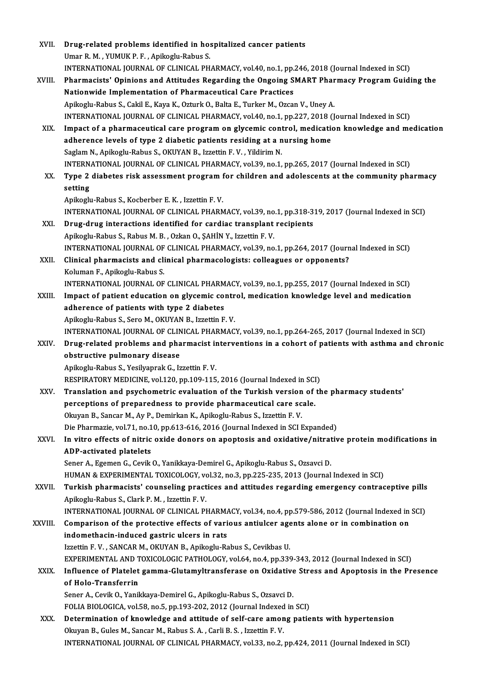| XVII.   | Drug-related problems identified in hospitalized cancer patients                                      |
|---------|-------------------------------------------------------------------------------------------------------|
|         | Umar R. M., YUMUK P. F., Apikoglu-Rabus S.                                                            |
|         | INTERNATIONAL JOURNAL OF CLINICAL PHARMACY, vol.40, no.1, pp.246, 2018 (Journal Indexed in SCI)       |
| XVIII.  | Pharmacists' Opinions and Attitudes Regarding the Ongoing SMART Pharmacy Program Guiding the          |
|         | Nationwide Implementation of Pharmaceutical Care Practices                                            |
|         | Apikoglu-Rabus S., Cakil E., Kaya K., Ozturk O., Balta E., Turker M., Ozcan V., Uney A.               |
|         | INTERNATIONAL JOURNAL OF CLINICAL PHARMACY, vol.40, no.1, pp.227, 2018 (Journal Indexed in SCI)       |
| XIX.    | Impact of a pharmaceutical care program on glycemic control, medication knowledge and medication      |
|         | adherence levels of type 2 diabetic patients residing at a nursing home                               |
|         | Saglam N., Apikoglu-Rabus S., OKUYAN B., Izzettin F. V., Yildirim N.                                  |
|         | INTERNATIONAL JOURNAL OF CLINICAL PHARMACY, vol.39, no.1, pp.265, 2017 (Journal Indexed in SCI)       |
| XX.     | Type 2 diabetes risk assessment program for children and adolescents at the community pharmacy        |
|         | setting                                                                                               |
|         | Apikoglu-Rabus S., Kocberber E. K., Izzettin F. V.                                                    |
|         | INTERNATIONAL JOURNAL OF CLINICAL PHARMACY, vol.39, no.1, pp.318-319, 2017 (Journal Indexed in SCI)   |
| XXI.    | Drug-drug interactions identified for cardiac transplant recipients                                   |
|         | Apikoglu-Rabus S., Rabus M. B., Ozkan O., ŞAHİN Y., Izzettin F. V.                                    |
|         | INTERNATIONAL JOURNAL OF CLINICAL PHARMACY, vol.39, no.1, pp.264, 2017 (Journal Indexed in SCI)       |
| XXII.   | Clinical pharmacists and clinical pharmacologists: colleagues or opponents?                           |
|         | Koluman F., Apikoglu-Rabus S.                                                                         |
|         | INTERNATIONAL JOURNAL OF CLINICAL PHARMACY, vol.39, no.1, pp.255, 2017 (Journal Indexed in SCI)       |
| XXIII.  | Impact of patient education on glycemic control, medication knowledge level and medication            |
|         | adherence of patients with type 2 diabetes                                                            |
|         | Apikoglu-Rabus S., Sero M., OKUYAN B., Izzettin F.V.                                                  |
|         | INTERNATIONAL JOURNAL OF CLINICAL PHARMACY, vol.39, no.1, pp.264-265, 2017 (Journal Indexed in SCI)   |
| XXIV.   | Drug-related problems and pharmacist interventions in a cohort of patients with asthma and chronic    |
|         | obstructive pulmonary disease                                                                         |
|         | Apikoglu-Rabus S., Yesilyaprak G., Izzettin F. V.                                                     |
|         | RESPIRATORY MEDICINE, vol.120, pp.109-115, 2016 (Journal Indexed in SCI)                              |
| XXV     | Translation and psychometric evaluation of the Turkish version of the pharmacy students'              |
|         | perceptions of preparedness to provide pharmaceutical care scale.                                     |
|         | Okuyan B., Sancar M., Ay P., Demirkan K., Apikoglu-Rabus S., Izzettin F. V.                           |
|         | Die Pharmazie, vol.71, no.10, pp.613-616, 2016 (Journal Indexed in SCI Expanded)                      |
| XXVI.   | In vitro effects of nitric oxide donors on apoptosis and oxidative/nitrative protein modifications in |
|         | <b>ADP-activated platelets</b>                                                                        |
|         | Sener A., Egemen G., Cevik O., Yanikkaya-Demirel G., Apikoglu-Rabus S., Ozsavci D.                    |
|         | HUMAN & EXPERIMENTAL TOXICOLOGY, vol.32, no.3, pp.225-235, 2013 (Journal Indexed in SCI)              |
| XXVII.  | Turkish pharmacists' counseling practices and attitudes regarding emergency contraceptive pills       |
|         | Apikoglu-Rabus S., Clark P. M., Izzettin F. V.                                                        |
|         | INTERNATIONAL JOURNAL OF CLINICAL PHARMACY, vol.34, no.4, pp.579-586, 2012 (Journal Indexed in SCI)   |
| XXVIII. | Comparison of the protective effects of various antiulcer agents alone or in combination on           |
|         | indomethacin-induced gastric ulcers in rats                                                           |
|         | Izzettin F. V., SANCAR M., OKUYAN B., Apikoglu-Rabus S., Cevikbas U.                                  |
|         | EXPERIMENTAL AND TOXICOLOGIC PATHOLOGY, vol.64, no.4, pp.339-343, 2012 (Journal Indexed in SCI)       |
| XXIX.   | Influence of Platelet gamma-Glutamyltransferase on Oxidative Stress and Apoptosis in the Presence     |
|         | of Holo-Transferrin                                                                                   |
|         | Sener A., Cevik O., Yanikkaya-Demirel G., Apikoglu-Rabus S., Ozsavci D.                               |
|         | FOLIA BIOLOGICA, vol.58, no.5, pp.193-202, 2012 (Journal Indexed in SCI)                              |
| XXX.    | Determination of knowledge and attitude of self-care among patients with hypertension                 |
|         | Okuyan B., Gules M., Sancar M., Rabus S. A., Carli B. S., Izzettin F. V.                              |
|         | INTERNATIONAL JOURNAL OF CLINICAL PHARMACY, vol.33, no.2, pp.424, 2011 (Journal Indexed in SCI)       |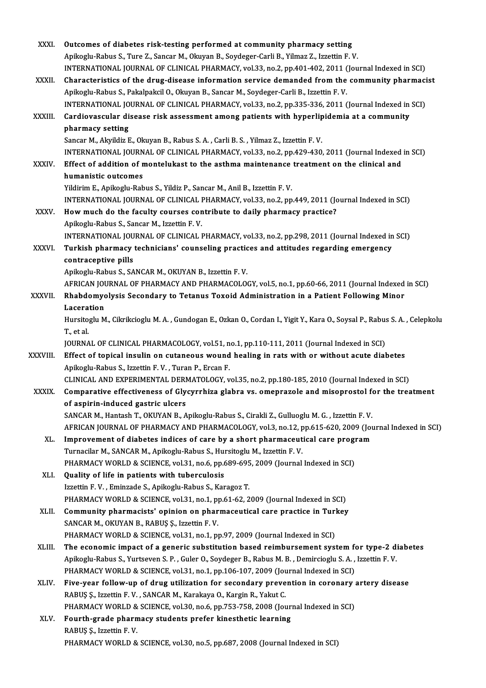| XXXI.        | Outcomes of diabetes risk-testing performed at community pharmacy setting                                                 |
|--------------|---------------------------------------------------------------------------------------------------------------------------|
|              | Apikoglu-Rabus S., Ture Z., Sancar M., Okuyan B., Soydeger-Carli B., Yilmaz Z., Izzettin F. V.                            |
|              | INTERNATIONAL JOURNAL OF CLINICAL PHARMACY, vol.33, no.2, pp.401-402, 2011 (Journal Indexed in SCI)                       |
| XXXII.       | Characteristics of the drug-disease information service demanded from the community pharmacist                            |
|              | Apikoglu-Rabus S., Pakalpakcil O., Okuyan B., Sancar M., Soydeger-Carli B., Izzettin F. V.                                |
|              | INTERNATIONAL JOURNAL OF CLINICAL PHARMACY, vol.33, no.2, pp.335-336, 2011 (Journal Indexed in SCI)                       |
| XXXIII.      | Cardiovascular disease risk assessment among patients with hyperlipidemia at a community                                  |
|              | pharmacy setting                                                                                                          |
|              | Sancar M., Akyildiz E., Okuyan B., Rabus S. A., Carli B. S., Yilmaz Z., Izzettin F. V.                                    |
|              | INTERNATIONAL JOURNAL OF CLINICAL PHARMACY, vol.33, no.2, pp.429-430, 2011 (Journal Indexed in SCI)                       |
| <b>XXXIV</b> | Effect of addition of montelukast to the asthma maintenance treatment on the clinical and                                 |
|              | humanistic outcomes                                                                                                       |
|              | Yildirim E., Apikoglu-Rabus S., Yildiz P., Sancar M., Anil B., Izzettin F. V.                                             |
|              | INTERNATIONAL JOURNAL OF CLINICAL PHARMACY, vol.33, no.2, pp.449, 2011 (Journal Indexed in SCI)                           |
| XXXV.        | How much do the faculty courses contribute to daily pharmacy practice?                                                    |
|              | Apikoglu-Rabus S., Sancar M., Izzettin F. V.                                                                              |
|              | INTERNATIONAL JOURNAL OF CLINICAL PHARMACY, vol.33, no.2, pp.298, 2011 (Journal Indexed in SCI)                           |
| <b>XXXVI</b> | Turkish pharmacy technicians' counseling practices and attitudes regarding emergency                                      |
|              | contraceptive pills                                                                                                       |
|              | Apikoglu-Rabus S., SANCAR M., OKUYAN B., Izzettin F.V.                                                                    |
|              | AFRICAN JOURNAL OF PHARMACY AND PHARMACOLOGY, vol.5, no.1, pp.60-66, 2011 (Journal Indexed in SCI)                        |
| XXXVII.      | Rhabdomyolysis Secondary to Tetanus Toxoid Administration in a Patient Following Minor                                    |
|              | Laceration                                                                                                                |
|              | Hursitoglu M., Cikrikcioglu M. A., Gundogan E., Ozkan O., Cordan I., Yigit Y., Kara O., Soysal P., Rabus S. A., Celepkolu |
|              | T, et al.                                                                                                                 |
|              | JOURNAL OF CLINICAL PHARMACOLOGY, vol.51, no.1, pp.110-111, 2011 (Journal Indexed in SCI)                                 |
| XXXVIII.     | Effect of topical insulin on cutaneous wound healing in rats with or without acute diabetes                               |
|              | Apikoglu-Rabus S., Izzettin F. V., Turan P., Ercan F.                                                                     |
|              | CLINICAL AND EXPERIMENTAL DERMATOLOGY, vol.35, no.2, pp.180-185, 2010 (Journal Indexed in SCI)                            |
| <b>XXXIX</b> | Comparative effectiveness of Glycyrrhiza glabra vs. omeprazole and misoprostol for the treatment                          |
|              | of aspirin-induced gastric ulcers                                                                                         |
|              | SANCAR M., Hantash T., OKUYAN B., Apikoglu-Rabus S., Cirakli Z., Gulluoglu M. G., Izzettin F. V.                          |
|              | AFRICAN JOURNAL OF PHARMACY AND PHARMACOLOGY, vol.3, no.12, pp.615-620, 2009 (Journal Indexed in SCI)                     |
| XL.          | Improvement of diabetes indices of care by a short pharmaceutical care program                                            |
|              | Turnacilar M., SANCAR M., Apikoglu-Rabus S., Hursitoglu M., Izzettin F. V.                                                |
|              | PHARMACY WORLD & SCIENCE, vol.31, no.6, pp.689-695, 2009 (Journal Indexed in SCI)                                         |
| XLI.         | Quality of life in patients with tuberculosis                                                                             |
|              | Izzettin F.V., Eminzade S., Apikoglu-Rabus S., Karagoz T.                                                                 |
|              | PHARMACY WORLD & SCIENCE, vol.31, no.1, pp.61-62, 2009 (Journal Indexed in SCI)                                           |
| XLII.        | Community pharmacists' opinion on pharmaceutical care practice in Turkey                                                  |
|              | SANCAR M., OKUYAN B., RABUŞ Ş., Izzettin F. V.                                                                            |
|              | PHARMACY WORLD & SCIENCE, vol.31, no.1, pp.97, 2009 (Journal Indexed in SCI)                                              |
| XLIII.       | The economic impact of a generic substitution based reimbursement system for type-2 diabetes                              |
|              | Apikoglu-Rabus S., Yurtseven S. P., Guler O., Soydeger B., Rabus M. B., Demircioglu S. A., Izzettin F. V.                 |
|              | PHARMACY WORLD & SCIENCE, vol.31, no.1, pp.106-107, 2009 (Journal Indexed in SCI)                                         |
| XLIV.        | Five-year follow-up of drug utilization for secondary prevention in coronary artery disease                               |
|              | RABUŞ Ş., Izzettin F. V., SANCAR M., Karakaya O., Kargin R., Yakut C.                                                     |
|              | PHARMACY WORLD & SCIENCE, vol.30, no.6, pp.753-758, 2008 (Journal Indexed in SCI)                                         |
| XLV.         | Fourth-grade pharmacy students prefer kinesthetic learning                                                                |
|              | RABUȘ Ș., Izzettin F. V.                                                                                                  |
|              | PHARMACY WORLD & SCIENCE, vol.30, no.5, pp.687, 2008 (Journal Indexed in SCI)                                             |
|              |                                                                                                                           |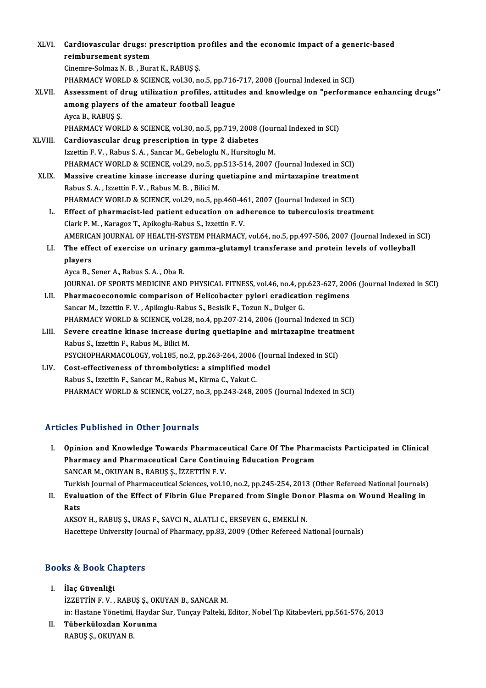| XLVI.   | Cardiovascular drugs: prescription profiles and the economic impact of a generic-based                   |
|---------|----------------------------------------------------------------------------------------------------------|
|         | reimbursement system                                                                                     |
|         | Cinemre-Solmaz N. B., Burat K., RABUS S.                                                                 |
|         | PHARMACY WORLD & SCIENCE, vol.30, no.5, pp.716-717, 2008 (Journal Indexed in SCI)                        |
| XLVII.  | Assessment of drug utilization profiles, attitudes and knowledge on "performance enhancing drugs"        |
|         | among players of the amateur football league                                                             |
|         | Ayca B, RABUŞ Ş                                                                                          |
|         | PHARMACY WORLD & SCIENCE, vol.30, no.5, pp.719, 2008 (Journal Indexed in SCI)                            |
| XLVIII. | Cardiovascular drug prescription in type 2 diabetes                                                      |
|         | Izzettin F.V., Rabus S.A., Sancar M., Gebeloglu N., Hursitoglu M.                                        |
|         | PHARMACY WORLD & SCIENCE, vol.29, no.5, pp.513-514, 2007 (Journal Indexed in SCI)                        |
| XLIX.   | Massive creatine kinase increase during quetiapine and mirtazapine treatment                             |
|         | Rabus S. A., Izzettin F. V., Rabus M. B., Bilici M.                                                      |
|         | PHARMACY WORLD & SCIENCE, vol.29, no.5, pp.460-461, 2007 (Journal Indexed in SCI)                        |
| L.      | Effect of pharmacist-led patient education on adherence to tuberculosis treatment                        |
|         | Clark P. M., Karagoz T., Apikoglu-Rabus S., Izzettin F. V.                                               |
|         | AMERICAN JOURNAL OF HEALTH-SYSTEM PHARMACY, vol.64, no.5, pp.497-506, 2007 (Journal Indexed in SCI)      |
| LI.     | The effect of exercise on urinary gamma-glutamyl transferase and protein levels of volleyball            |
|         | players                                                                                                  |
|         | Ayca B, Sener A, Rabus S. A., Oba R.                                                                     |
|         | JOURNAL OF SPORTS MEDICINE AND PHYSICAL FITNESS, vol.46, no.4, pp.623-627, 2006 (Journal Indexed in SCI) |
| LII.    | Pharmacoeconomic comparison of Helicobacter pylori eradication regimens                                  |
|         | Sancar M., Izzettin F. V., Apikoglu-Rabus S., Besisik F., Tozun N., Dulger G.                            |
|         | PHARMACY WORLD & SCIENCE, vol.28, no.4, pp.207-214, 2006 (Journal Indexed in SCI)                        |
| LIII.   | Severe creatine kinase increase during quetiapine and mirtazapine treatment                              |
|         | Rabus S., Izzettin F., Rabus M., Bilici M.                                                               |
|         | PSYCHOPHARMACOLOGY, vol.185, no.2, pp.263-264, 2006 (Journal Indexed in SCI)                             |
| LIV.    | Cost-effectiveness of thrombolytics: a simplified model                                                  |
|         | Rabus S., Izzettin F., Sancar M., Rabus M., Kirma C., Yakut C.                                           |
|         | PHARMACY WORLD & SCIENCE, vol.27, no.3, pp.243-248, 2005 (Journal Indexed in SCI)                        |
|         |                                                                                                          |

### Articles Published in Other Journals

- I. Opinion and Knowledge Towards Pharmaceutical Care Of The Pharmacists Participated in Clinical Pharmacy and Knowledge Towards Pharmaceutical Care Of The Pharmacy<br>Pharmacy and Pharmaceutical Care Continuing Education Program<br>SANGAR M. OVIIVAN R. RARIIS S. 177FTTIN E.V. Opinion and Knowledge Towards Pharmace<br>Pharmacy and Pharmaceutical Care Continu<br>SANCAR M., OKUYAN B., RABUŞ Ş., İZZETTİN F. V.<br>Turkish Journal of Pharmaceutical Sciences, vol 14 SANCAR M., OKUYAN B., RABUŞ Ş., İZZETTİN F. V.<br>Turkish Journal of Pharmaceutical Sciences, vol.10, no.2, pp.245-254, 2013 (Other Refereed National Journals)
- SANCAR M., OKUYAN B., RABUŞ Ş., İZZETTİN F. V.<br>Turkish Journal of Pharmaceutical Sciences, vol.10, no.2, pp.245-254, 2013 (Other Refereed National Journals)<br>II. Evaluation of the Effect of Fibrin Glue Prepared from Sin Turki<br><mark>Evalı</mark><br>Rats Evaluation of the Effect of Fibrin Glue Prepared from Single Done<br>Rats<br>AKSOY H., RABUŞ Ş., URAS F., SAVCI N., ALATLI C., ERSEVEN G., EMEKLİ N.<br>Hasettana University Journal of Pharmagy, np.93, 2009 (Other Pefersed N

Rats<br>AKSOY H., RABUŞ Ş., URAS F., SAVCI N., ALATLI C., ERSEVEN G., EMEKLİ N.<br>Hacettepe University Journal of Pharmacy, pp.83, 2009 (Other Refereed National Journals)

## naceuepe oniversity jour<br>Books & Book Chapters ooks & Book Ch<br>I. İlaç Güvenliği<br>İZZETTİNE V

I. İlaç Güvenliği<br>İZZETTİN F. V. , RABUŞ Ş., OKUYAN B., SANCAR M. İlaç Güvenliği<br>İZZETTİN F. V. , RABUŞ Ş., OKUYAN B., SANCAR M.<br>in: Hastane Yönetimi, Haydar Sur, Tunçay Palteki, Editor, Nobel Tıp Kitabevleri, pp.561-576, 2013<br>Tüherkülerden Kenunme İZZETTİN F. V. , RABUŞ Ş., OK<br>in: Hastane Yönetimi, Haydar<br>II. Tüberkülozdan Korunma<br>PABUS S. OKUYAN B

in: Hastane Yönetimi,<br><mark>Tüberkülozdan Ko</mark>ı<br>RABUŞ Ş., OKUYAN B.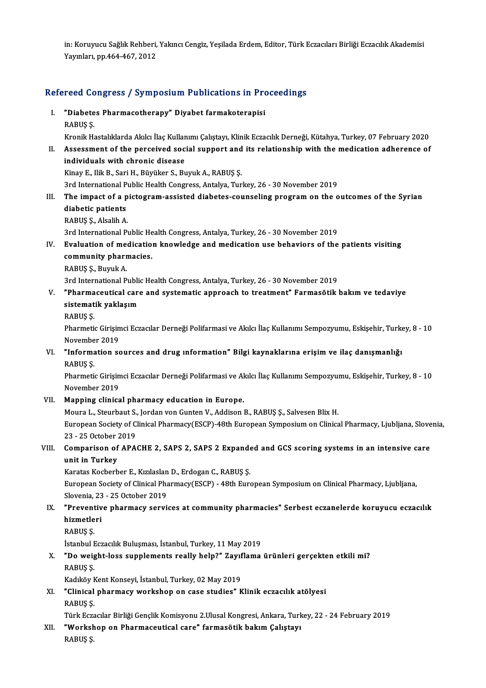in: Koruyucu Sağlık Rehberi, Yakıncı Cengiz, Yeşilada Erdem, Editor, Türk Eczacıları Birliği Eczacılık Akademisi<br>Yayınlanı nn 464,467, 2012 in: Koruyucu Sağlık Rehberi,<br>Yayınları, pp.464-467, 2012

# raymarı, pp.464-467, 2012<br>Refereed Congress / Symposium Publications in Proceedings

efereed Congress / Symposium Publications in Pro<br>I. "Diabetes Pharmacotherapy" Diyabet farmakoterapisi I. "Diabetes Pharmacotherapy" Diyabet farmakoterapisi<br>RABUS S. "Diabetes Pharmacotherapy" Diyabet farmakoterapisi<br>RABUŞ Ş.<br>Kronik Hastalıklarda Akılcı İlaç Kullanımı Çalıştayı, Klinik Eczacılık Derneği, Kütahya, Turkey, 07 February 2020 RABUŞ Ş.<br>I . Kronik Hastalıklarda Akılcı İlaç Kullanımı Çalıştayı, Klinik Eczacılık Derneği, Kütahya, Turkey, 07 February 2020<br>II. Assessment of the perceived social support and its relationship with the medication adheren Kronik Hastalıklarda Akılcı İlaç Kullar<br>Assessment of the perceived soc<br>individuals with chronic disease<br><sup>Vinou E.</sup> <sup>Hilz P. Sori H. Büyülter S. Bu</sup> II. Assessment of the perceived social support and its relationship with the medication adherence of individuals with chronic disease<br>Kinay E., Ilik B., Sari H., Büyüker S., Buyuk A., RABUŞ Ş. individuals with chronic disease<br>Kinay E., Ilik B., Sari H., Büyüker S., Buyuk A., RABUŞ Ş.<br>3rd International Public Health Congress, Antalya, Turkey, 26 - 30 November 2019<br>The impact of a pistosyam assisted diabates, soun Kinay E., Ilik B., Sari H., Büyüker S., Buyuk A., RABUŞ Ş.<br>3rd International Public Health Congress, Antalya, Turkey, 26 - 30 November 2019<br>III. The impact of a pictogram-assisted diabetes-counseling program on the outcome 3rd International P<br>The impact of a p<br>diabetic patients<br>BAPUS S Algalib A The impact of a p<br>diabetic patients<br>RABUŞ Ş., Alsalih A.<br>2nd International B. diabetic patients<br>1989 S., Alsalih A.<br>3rd International Public Health Congress, Antalya, Turkey, 26 - 30 November 2019 RABUŞ Ş., Alsalih A.<br>3rd International Public Health Congress, Antalya, Turkey, 26 - 30 November 2019<br>IV. Evaluation of medication knowledge and medication use behaviors of the patients visiting<br>community pharmacics 3rd International Public He<br>**Evaluation of medicatio**<br>community pharmacies.<br>PAPUS S. Burnk A Evaluation of mee<br>community pharr<br>RABUŞ Ş., Buyuk A.<br><sup>2rd International B</sub></sup> community pharmacies.<br>RABUŞ Ş., Buyuk A.<br>3rd International Public Health Congress, Antalya, Turkey, 26 - 30 November 2019<br>"Pharmacoutical care and systematis approach to treatment" Farmasötik i RABUŞ Ş., Buyuk A.<br>3rd International Public Health Congress, Antalya, Turkey, 26 - 30 November 2019<br>V. "Pharmaceutical care and systematic approach to treatment" Farmasötik bakım ve tedaviye 3rd International Publi<br>"Pharmaceutical care<br>sistematik yaklaşım<br>PAPUS S sistematik yaklaşım<br>RABUŞ Ş. sistematik yaklaşım<br>RABUŞ Ş.<br>Pharmetic Girişimci Eczacılar Derneği Polifarmasi ve Akılcı İlaç Kullanımı Sempozyumu, Eskişehir, Turkey, 8 - 10 RABUŞ Ş.<br>Pharmetic Girişin<br>November 2019<br>"Information se Pharmetic Girişimci Eczacılar Derneği Polifarmasi ve Akılcı İlaç Kullanımı Sempozyumu, Eskişehir, Turke<br>November 2019<br>VI. "Information sources and drug ınformation" Bilgi kaynaklarına erişim ve ilaç danışmanlığı<br>RARIIS S Novembe<br>"Informa<br>RABUŞ Ş.<br>Pharmati "Information sources and drug ınformation" Bilgi kaynaklarına erişim ve ilaç danışmanlığı<br>RABUŞ Ş.<br>Pharmetic Girişimci Eczacılar Derneği Polifarmasi ve Akılcı İlaç Kullanımı Sempozyumu, Eskişehir, Turkey, 8 - 10<br>Navember 2 RABUŞ Ş.<br>Pharmetic Girişimci Eczacılar Derneği Polifarmasi ve Akılcı İlaç Kullanımı Sempozyumu, Eskişehir, Turkey, 8 - 10<br>November 2019 VII. Mapping clinical pharmacy education in Europe. November 2019<br>**Mapping clinical pharmacy education in Europe.**<br>Moura L., Steurbaut S., Jordan von Gunten V., Addison B., RABUŞ Ş., Salvesen Blix H.<br>European Society of Clinical Pharmacy(ESCP), 49th European Symposium on Cl European Society of Clinical Pharmacy(ESCP)-48th European Symposium on Clinical Pharmacy, Ljubljana, Slovenia,<br>23 - 25 October 2019 Moura L., Steurbaut S.,<br>European Society of C.<br>23 - 25 October 2019<br>Companison of ABA European Society of Clinical Pharmacy(ESCP)-48th European Symposium on Clinical Pharmacy, Ljubljana, Slove<br>23 - 25 October 2019<br>VIII. Comparison of APACHE 2, SAPS 2, SAPS 2 Expanded and GCS scoring systems in an intensive 23 - 25 October :<br>Comparison of<br>unit in Turkey<br>Karatas Kosbarb Comparison of APACHE 2, SAPS 2, SAPS 2 Expande<br>unit in Turkey<br>Karatas Kocberber E., Kızılaslan D., Erdogan C., RABUŞ Ş.<br>European Society of Clinical Bharmacy(ESCP), 49th Euro unit in Turkey<br>Karatas Kocberber E., Kızılaslan D., Erdogan C., RABUŞ Ş.<br>European Society of Clinical Pharmacy(ESCP) - 48th European Symposium on Clinical Pharmacy, Ljubljana,<br>Slovenia, 23 - 25 October 2019 Karatas Kocberber E., Kızılaslan D., Erdogan C., RABUŞ Ş. European Society of Clinical Pharmacy(ESCP) - 48th European Symposium on Clinical Pharmacy, Ljubljana,<br>Slovenia, 23 - 25 October 2019<br>IX. "Preventive pharmacy services at community pharmacies" Serbest eczanelerde koruyucu Slovenia, 23<br>**"Preventiv"**<br>hizmetleri<br><sup>PAPUS S</sup> "Prevent<br>hizmetle<br>RABUŞ Ş.<br>İstanbul E hizmetleri<br>RABUŞ Ş.<br>İstanbul Eczacılık Buluşması, İstanbul, Turkey, 11 May 2019 RABUŞ Ş.<br>İstanbul Eczacılık Buluşması, İstanbul, Turkey, 11 May 2019<br>X. "Do weight-loss supplements really help?" Zayıflama ürünleri gerçekten etkili mi?<br>RABUS S İstanbul <mark>I</mark><br>"Do weig<br>RABUŞ Ş.<br>Kadılöy k "Do weight-loss supplements really help?" Zayıf<br>RABUŞ Ş.<br>Kadıköy Kent Konseyi, İstanbul, Turkey, 02 May 2019<br>"Clinical pharması: workshap an sase studies" v RABUŞ Ş.<br>Kadıköy Kent Konseyi, İstanbul, Turkey, 02 May 2019<br>XI. "Clinical pharmacy workshop on case studies" Klinik eczacılık atölyesi<br>RABUS S Kadıköy F<br>**"Clinical**<br>RABUŞ Ş.<br>Türk Fere "Clinical pharmacy workshop on case studies" Klinik eczacılık atölyesi<br>RABUŞ Ş.<br>Türk Eczacılar Birliği Gençlik Komisyonu 2.Ulusal Kongresi, Ankara, Turkey, 22 - 24 February 2019<br>"Worksbon on Pharmaceutical sana" farmasêtik RABUŞ Ş.<br>Türk Eczacılar Birliği Gençlik Komisyonu 2.Ulusal Kongresi, Ankara, Turk<br>XII. "Workshop on Pharmaceutical care" farmasötik bakım Çalıştayı<br>RABUŞ Ş. Türk Ecz<br>**"Worksł**<br>RABUŞ Ş.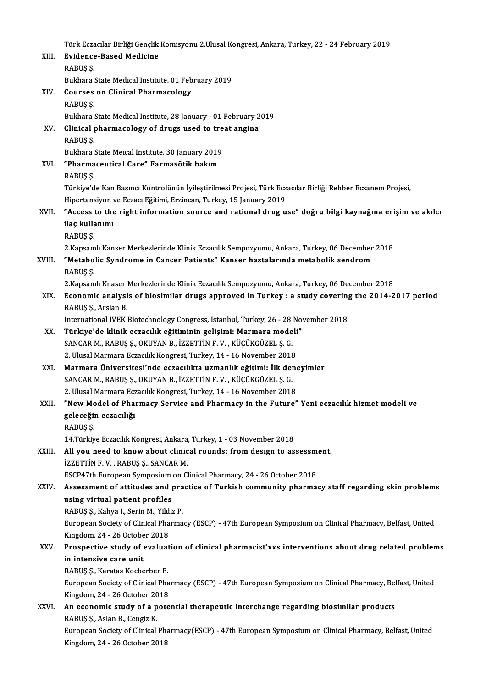Türk Eczacılar Birliği Gençlik Komisyonu 2.Ulusal Kongresi, Ankara, Turkey, 22 - 24 February 2019<br>Fyidenga Basad Madisine

|        | Türk Eczacılar Birliği Gençlik Komisyonu 2.Ulusal Kongresi, Ankara, Turkey, 22 - 24 February 2019            |
|--------|--------------------------------------------------------------------------------------------------------------|
| XIII.  | <b>Evidence-Based Medicine</b>                                                                               |
|        | RABUŞ Ş.                                                                                                     |
|        | Bukhara State Medical Institute, 01 February 2019                                                            |
| XIV.   | <b>Courses on Clinical Pharmacology</b>                                                                      |
|        | RABUŞ Ş                                                                                                      |
|        | Bukhara State Medical Institute, 28 January - 01 February 2019                                               |
| XV.    | Clinical pharmacology of drugs used to treat angina                                                          |
|        | RABUŞ Ş.                                                                                                     |
|        | Bukhara State Meical Institute, 30 January 2019                                                              |
| XVI.   | "Pharmaceutical Care" Farmasötik bakım                                                                       |
|        | RABUŞ Ş.                                                                                                     |
|        | Türkiye'de Kan Basıncı Kontrolünün İyileştirilmesi Projesi, Türk Eczacılar Birliği Rehber Eczanem Projesi,   |
|        | Hipertansiyon ve Eczacı Eğitimi, Erzincan, Turkey, 15 January 2019                                           |
| XVII.  | "Access to the right information source and rational drug use" doğru bilgi kaynağına erişim ve akılcı        |
|        | ilaç kullanımı                                                                                               |
|        | RABUŞ Ş.                                                                                                     |
|        | 2. Kapsamlı Kanser Merkezlerinde Klinik Eczacılık Sempozyumu, Ankara, Turkey, 06 December 2018               |
| XVIII. | "Metabolic Syndrome in Cancer Patients" Kanser hastalarında metabolik sendrom                                |
|        | RABUŞ Ş.                                                                                                     |
|        | 2.Kapsamlı Knaser Merkezlerinde Klinik Eczacılık Sempozyumu, Ankara, Turkey, 06 December 2018                |
| XIX.   | Economic analysis of biosimilar drugs approved in Turkey : a study covering the 2014-2017 period             |
|        | RABUŞ Ş, Arslan B                                                                                            |
|        | International IVEK Biotechnology Congress, İstanbul, Turkey, 26 - 28 November 2018                           |
| XX.    | Türkiye'de klinik eczacılık eğitiminin gelişimi: Marmara modeli"                                             |
|        | SANCAR M., RABUŞ Ş., OKUYAN B., İZZETTİN F. V., KÜÇÜKGÜZEL Ş. G.                                             |
|        | 2. Ulusal Marmara Eczacılık Kongresi, Turkey, 14 - 16 November 2018                                          |
| XXI.   | Marmara Üniversitesi'nde eczacılıkta uzmanlık eğitimi: İlk deneyimler                                        |
|        | SANCAR M., RABUŞ Ş., OKUYAN B., İZZETTİN F. V., KÜÇÜKGÜZEL Ş. G.                                             |
|        | 2. Ulusal Marmara Eczacılık Kongresi, Turkey, 14 - 16 November 2018                                          |
| XXII.  | "New Model of Pharmacy Service and Pharmacy in the Future" Yeni eczacılık hizmet modeli ve                   |
|        | geleceğin eczacılığı                                                                                         |
|        | RABUŞ Ş.                                                                                                     |
|        | 14. Türkiye Eczacılık Kongresi, Ankara, Turkey, 1 - 03 November 2018                                         |
| XXIII. | All you need to know about clinical rounds: from design to assessment.                                       |
|        | İZZETTİN F.V., RABUŞ Ş., SANCAR M.                                                                           |
|        | ESCP47th European Symposium on Clinical Pharmacy, 24 - 26 October 2018                                       |
| XXIV.  | Assessment of attitudes and practice of Turkish community pharmacy staff regarding skin problems             |
|        | using virtual patient profiles                                                                               |
|        | RABUŞ Ş., Kahya I., Serin M., Yildiz P.                                                                      |
|        | European Society of Clinical Pharmacy (ESCP) - 47th European Symposium on Clinical Pharmacy, Belfast, United |
|        | Kingdom, 24 - 26 October 2018                                                                                |
| XXV.   | Prospective study of evaluation of clinical pharmacist'xxs interventions about drug related problems         |
|        | in intensive care unit                                                                                       |
|        | RABUŞ Ş., Karatas Kocberber E.                                                                               |
|        | European Society of Clinical Pharmacy (ESCP) - 47th European Symposium on Clinical Pharmacy, Belfast, United |
|        | Kingdom, 24 - 26 October 2018                                                                                |
| XXVI.  | An economic study of a potential therapeutic interchange regarding biosimilar products                       |
|        | RABUŞ Ş., Aslan B., Cengiz K.                                                                                |
|        | European Society of Clinical Pharmacy(ESCP) - 47th European Symposium on Clinical Pharmacy, Belfast, United  |
|        | Kingdom, 24 - 26 October 2018                                                                                |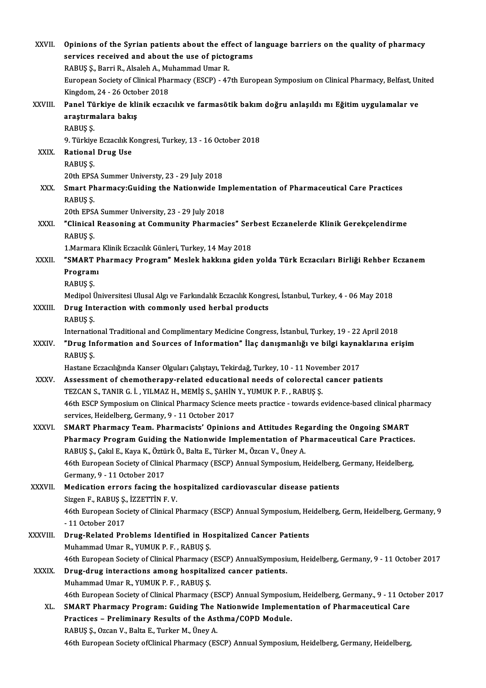| XXVII.       | Opinions of the Syrian patients about the effect of language barriers on the quality of pharmacy                                                   |
|--------------|----------------------------------------------------------------------------------------------------------------------------------------------------|
|              | services received and about the use of pictograms                                                                                                  |
|              | RABUŞ Ş., Barri R., Alsaleh A., Muhammad Umar R.                                                                                                   |
|              | European Society of Clinical Pharmacy (ESCP) - 47th European Symposium on Clinical Pharmacy, Belfast, United                                       |
|              | Kingdom, 24 - 26 October 2018                                                                                                                      |
| XXVIII.      | Panel Türkiye de klinik eczacılık ve farmasötik bakım doğru anlaşıldı mı Eğitim uygulamalar ve                                                     |
|              | araştırmalara bakış                                                                                                                                |
|              | RABUŞ Ş.                                                                                                                                           |
|              | 9. Türkiye Eczacılık Kongresi, Turkey, 13 - 16 October 2018                                                                                        |
| XXIX.        | <b>Rational Drug Use</b>                                                                                                                           |
|              | RABUŞ Ş                                                                                                                                            |
|              | 20th EPSA Summer Universty, 23 - 29 July 2018                                                                                                      |
| XXX.         | Smart Pharmacy: Guiding the Nationwide Implementation of Pharmaceutical Care Practices<br>RABUŞ Ş.                                                 |
|              | 20th EPSA Summer University, 23 - 29 July 2018                                                                                                     |
| <b>XXXI</b>  | "Clinical Reasoning at Community Pharmacies" Serbest Eczanelerde Klinik Gerekçelendirme                                                            |
|              | RABUŞ Ş.                                                                                                                                           |
|              | 1. Marmara Klinik Eczacılık Günleri, Turkey, 14 May 2018                                                                                           |
| XXXII.       | "SMART Pharmacy Program" Meslek hakkına giden yolda Türk Eczacıları Birliği Rehber Eczanem                                                         |
|              | Programı                                                                                                                                           |
|              | RABUŞ Ş.                                                                                                                                           |
|              | Medipol Üniversitesi Ulusal Algı ve Farkındalık Eczacılık Kongresi, İstanbul, Turkey, 4 - 06 May 2018                                              |
| XXXIII.      | Drug Interaction with commonly used herbal products                                                                                                |
|              | RABUŞ Ş.                                                                                                                                           |
|              | International Traditional and Complimentary Medicine Congress, İstanbul, Turkey, 19 - 22 April 2018                                                |
| <b>XXXIV</b> | "Drug Information and Sources of Information" İlaç danışmanlığı ve bilgi kaynaklarına erişim                                                       |
|              | RABUŞ Ş.<br>Hastane Eczacılığında Kanser Olguları Çalıştayı, Tekirdağ, Turkey, 10 - 11 November 2017                                               |
| <b>XXXV</b>  | Assessment of chemotherapy-related educational needs of colorectal cancer patients                                                                 |
|              | TEZCAN S., TANIR G. İ., YILMAZ H., MEMİŞ S., ŞAHİN Y., YUMUK P. F., RABUŞ Ş.                                                                       |
|              | 46th ESCP Symposium on Clinical Pharmacy Science meets practice - towards evidence-based clinical pharmacy                                         |
|              | services, Heidelberg, Germany, 9 - 11 October 2017                                                                                                 |
| XXXVI.       | SMART Pharmacy Team. Pharmacists' Opinions and Attitudes Regarding the Ongoing SMART                                                               |
|              | Pharmacy Program Guiding the Nationwide Implementation of Pharmaceutical Care Practices.                                                           |
|              | RABUŞ Ş., Çakıl E., Kaya K., Öztürk Ö., Balta E., Türker M., Özcan V., Üney A.                                                                     |
|              | 46th European Society of Clinical Pharmacy (ESCP) Annual Symposium, Heidelberg, Germany, Heidelberg,                                               |
|              | Germany, 9 - 11 October 2017                                                                                                                       |
| XXXVII.      | Medication errors facing the hospitalized cardiovascular disease patients                                                                          |
|              | Sizgen F., RABUŞ Ş., İZZETTİN F.V.<br>46th European Society of Clinical Pharmacy (ESCP) Annual Symposium, Heidelberg, Germ, Heidelberg, Germany, 9 |
|              | -11 October 2017                                                                                                                                   |
| XXXVIII.     | Drug-Related Problems Identified in Hospitalized Cancer Patients                                                                                   |
|              | Muhammad Umar R., YUMUK P. F., RABUŞ Ş.                                                                                                            |
|              | 46th European Society of Clinical Pharmacy (ESCP) AnnualSymposium, Heidelberg, Germany, 9 - 11 October 2017                                        |
| <b>XXXIX</b> | Drug-drug interactions among hospitalized cancer patients.                                                                                         |
|              | Muhammad Umar R., YUMUK P. F., RABUŞ Ş.                                                                                                            |
|              | 46th European Society of Clinical Pharmacy (ESCP) Annual Symposium, Heidelberg, Germany., 9 - 11 October 2017                                      |
| XL.          | SMART Pharmacy Program: Guiding The Nationwide Implementation of Pharmaceutical Care                                                               |
|              | Practices - Preliminary Results of the Asthma/COPD Module.                                                                                         |
|              | RABUŞ Ş., Ozcan V., Balta E., Turker M., Üney A.                                                                                                   |
|              | 46th European Society ofClinical Pharmacy (ESCP) Annual Symposium, Heidelberg, Germany, Heidelberg,                                                |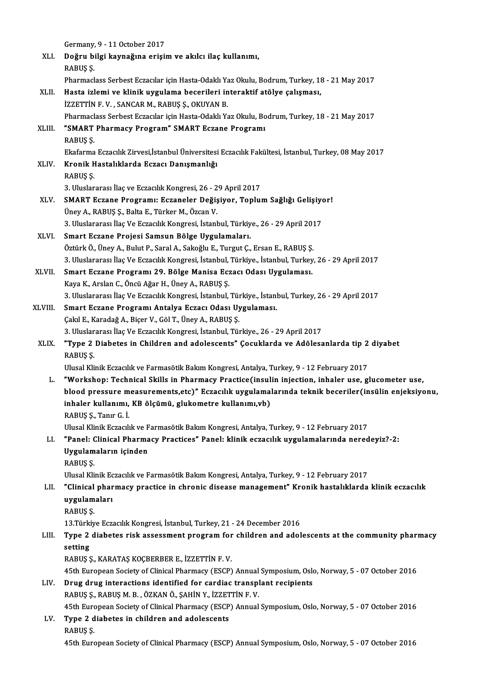|         | Germany, 9 - 11 October 2017                                                                                                         |
|---------|--------------------------------------------------------------------------------------------------------------------------------------|
| XLI.    | Doğru bilgi kaynağına erişim ve akılcı ilaç kullanımı,                                                                               |
|         | RABUŞ Ş.                                                                                                                             |
|         | Pharmaclass Serbest Eczacılar için Hasta-Odaklı Yaz Okulu, Bodrum, Turkey, 18 - 21 May 2017                                          |
| XLII.   | Hasta izlemi ve klinik uygulama becerileri interaktif atölye çalışması,                                                              |
|         | İZZETTİN F.V., SANCAR M., RABUŞ Ş., OKUYAN B.                                                                                        |
|         | Pharmaclass Serbest Eczacılar için Hasta-Odaklı Yaz Okulu, Bodrum, Turkey, 18 - 21 May 2017                                          |
| XLIII.  | "SMART Pharmacy Program" SMART Eczane Programi                                                                                       |
|         | RABUŞ Ş.                                                                                                                             |
|         | Ekafarma Eczacılık Zirvesi,İstanbul Üniversitesi Eczacılık Fakültesi, İstanbul, Turkey, 08 May 2017                                  |
| XLIV.   | Kronik Hastalıklarda Eczacı Danışmanlığı                                                                                             |
|         | RABUŞ Ş.                                                                                                                             |
|         | 3. Uluslararası İlaç ve Eczacılık Kongresi, 26 - 29 April 2017                                                                       |
| XLV.    | SMART Eczane Programı: Eczaneler Değişiyor, Toplum Sağlığı Gelişiyor!                                                                |
|         | Üney A., RABUŞ Ş., Balta E., Türker M., Özcan V.                                                                                     |
|         | 3. Uluslararası İlaç Ve Eczacılık Kongresi, İstanbul, Türkiye., 26 - 29 April 2017                                                   |
| XLVI.   | Smart Eczane Projesi Samsun Bölge Uygulamaları.<br>Öztürk Ö., Üney A., Bulut P., Saral A., Sakoğlu E., Turgut Ç., Ersan E., RABUŞ Ş. |
|         | 3. Uluslararası İlaç Ve Eczacılık Kongresi, İstanbul, Türkiye., İstanbul, Turkey, 26 - 29 April 2017                                 |
| XLVII.  | Smart Eczane Programı 29. Bölge Manisa Eczacı Odası Uygulaması.                                                                      |
|         | Kaya K., Arslan C., Öncü Ağar H., Üney A., RABUŞ Ş.                                                                                  |
|         | 3. Uluslararası İlaç Ve Eczacılık Kongresi, İstanbul, Türkiye., İstanbul, Turkey, 26 - 29 April 2017                                 |
| XLVIII. | Smart Eczane Programı Antalya Eczacı Odası Uygulaması.                                                                               |
|         | Çakıl E., Karadağ A., Biçer V., Göl T., Üney A., RABUŞ Ş.                                                                            |
|         | 3. Uluslararası İlaç Ve Eczacılık Kongresi, İstanbul, Türkiye., 26 - 29 April 2017                                                   |
| XLIX.   | "Type 2 Diabetes in Children and adolescents" Çocuklarda ve Adölesanlarda tip 2 diyabet<br>RABUŞ Ş.                                  |
|         | Ulusal Klinik Eczacılık ve Farmasötik Bakım Kongresi, Antalya, Turkey, 9 - 12 February 2017                                          |
| L.      | "Workshop: Technical Skills in Pharmacy Practice(insulin injection, inhaler use, glucometer use,                                     |
|         | blood pressure measurements, etc)" Eczacılık uygulamalarında teknik beceriler (insülin enjeksiyonu,                                  |
|         | inhaler kullanımı, KB ölçümü, glukometre kullanımı,vb)                                                                               |
|         | RABUŞ Ş., Tanır G. İ.                                                                                                                |
|         | Ulusal Klinik Eczacılık ve Farmasötik Bakım Kongresi, Antalya, Turkey, 9 - 12 February 2017                                          |
| LI.     | "Panel: Clinical Pharmacy Practices" Panel: klinik eczacılık uygulamalarında neredeyiz?-2:                                           |
|         | Uygulamaların içinden                                                                                                                |
|         | RABUŞ Ş.                                                                                                                             |
|         | Ulusal Klinik Eczacılık ve Farmasötik Bakım Kongresi, Antalya, Turkey, 9 - 12 February 2017                                          |
| LII.    | "Clinical pharmacy practice in chronic disease management" Kronik hastalıklarda klinik eczacılık<br>uygulamaları                     |
|         | RABUŞ Ş.                                                                                                                             |
|         | 13. Türkiye Eczacılık Kongresi, İstanbul, Turkey, 21 - 24 December 2016                                                              |
| LIII.   | Type 2 diabetes risk assessment program for children and adolescents at the community pharmacy                                       |
|         | setting                                                                                                                              |
|         | RABUŞ Ş., KARATAŞ KOÇBERBER E., İZZETTİN F. V.                                                                                       |
|         | 45th European Society of Clinical Pharmacy (ESCP) Annual Symposium, Oslo, Norway, 5 - 07 October 2016                                |
| LIV.    | Drug drug interactions identified for cardiac transplant recipients                                                                  |
|         | RABUŞ Ş., RABUŞ M. B., ÖZKAN Ö., ŞAHİN Y., İZZETTİN F. V.                                                                            |
|         | 45th European Society of Clinical Pharmacy (ESCP) Annual Symposium, Oslo, Norway, 5 - 07 October 2016                                |
| LV.     | Type 2 diabetes in children and adolescents                                                                                          |
|         | RABUŞ Ş.                                                                                                                             |
|         | 45th European Society of Clinical Pharmacy (ESCP) Annual Symposium, Oslo, Norway, 5 - 07 October 2016                                |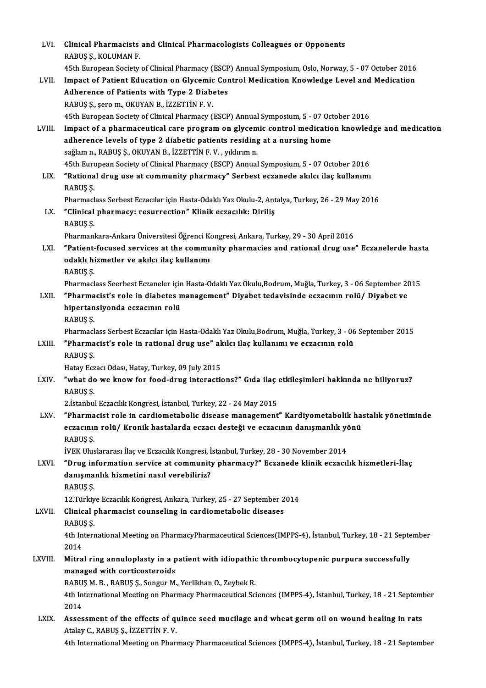| LVI.    | Clinical Pharmacists and Clinical Pharmacologists Colleagues or Opponents                                                             |
|---------|---------------------------------------------------------------------------------------------------------------------------------------|
|         | RABUŞ Ş., KOLUMAN F                                                                                                                   |
|         | 45th European Society of Clinical Pharmacy (ESCP) Annual Symposium, Oslo, Norway, 5 - 07 October 2016                                 |
| LVII.   | Impact of Patient Education on Glycemic Control Medication Knowledge Level and Medication                                             |
|         | Adherence of Patients with Type 2 Diabetes                                                                                            |
|         | RABUŞ Ş., şero m., OKUYAN B., İZZETTİN F.V.                                                                                           |
|         | 45th European Society of Clinical Pharmacy (ESCP) Annual Symposium, 5 - 07 October 2016                                               |
| LVIII.  | Impact of a pharmaceutical care program on glycemic control medication knowledge and medication                                       |
|         | adherence levels of type 2 diabetic patients residing at a nursing home<br>sağlam n., RABUŞ Ş., OKUYAN B., İZZETTİN F.V., yıldırım n. |
|         | 45th European Society of Clinical Pharmacy (ESCP) Annual Symposium, 5 - 07 October 2016                                               |
| LIX.    | "Rational drug use at community pharmacy" Serbest eczanede akılcı ilaç kullanımı                                                      |
|         | RABUŞ Ş.                                                                                                                              |
|         | Pharmaclass Serbest Eczacılar için Hasta-Odaklı Yaz Okulu-2, Antalya, Turkey, 26 - 29 May 2016                                        |
| LX.     | "Clinical pharmacy: resurrection" Klinik eczacılık: Diriliş                                                                           |
|         | RABUŞ Ş.                                                                                                                              |
|         | Pharmankara-Ankara Üniversitesi Öğrenci Kongresi, Ankara, Turkey, 29 - 30 April 2016                                                  |
| LXI.    | "Patient-focused services at the community pharmacies and rational drug use" Eczanelerde hasta                                        |
|         | odaklı hizmetler ve akılcı ilaç kullanımı<br>RABUŞ Ş.                                                                                 |
|         | Pharmaclass Seerbest Eczaneler için Hasta-Odaklı Yaz Okulu, Bodrum, Muğla, Turkey, 3 - 06 September 2015                              |
| LXII.   | "Pharmacist's role in diabetes management" Diyabet tedavisinde eczacının rolü/ Diyabet ve                                             |
|         | hipertansiyonda eczacının rolü                                                                                                        |
|         | RABUŞ Ş.                                                                                                                              |
|         | Pharmaclass Serbest Eczacılar için Hasta-Odaklı Yaz Okulu,Bodrum, Muğla, Turkey, 3 - 06 September 2015                                |
| LXIII.  | "Pharmacist's role in rational drug use" akılcı ilaç kullanımı ve eczacının rolü                                                      |
|         | RABUŞ Ş.                                                                                                                              |
|         | Hatay Eczacı Odası, Hatay, Turkey, 09 July 2015                                                                                       |
| LXIV.   | "what do we know for food-drug interactions?" Gida ilaç etkileşimleri hakkında ne biliyoruz?<br>RABUŞ Ş.                              |
|         | 2. İstanbul Eczacılık Kongresi, İstanbul, Turkey, 22 - 24 May 2015                                                                    |
| LXV.    | "Pharmacist role in cardiometabolic disease management" Kardiyometabolik hastalık yönetiminde                                         |
|         | eczacının rolü/ Kronik hastalarda eczacı desteği ve eczacının danışmanlık yönü                                                        |
|         | RABUŞ Ş.                                                                                                                              |
|         | İVEK Uluslararası İlaç ve Eczacılık Kongresi, İstanbul, Turkey, 28 - 30 November 2014                                                 |
| LXVI.   | "Drug information service at community pharmacy?" Eczanede klinik eczacılık hizmetleri-İlaç                                           |
|         | danışmanlık hizmetini nasıl verebiliriz?                                                                                              |
|         | RABUŞ Ş.<br>12. Türkiye Eczacılık Kongresi, Ankara, Turkey, 25 - 27 September 2014                                                    |
| LXVII.  | Clinical pharmacist counseling in cardiometabolic diseases                                                                            |
|         | RABUŞ Ş.                                                                                                                              |
|         | 4th International Meeting on PharmacyPharmaceutical Sciences(IMPPS-4), İstanbul, Turkey, 18 - 21 September                            |
|         | 2014                                                                                                                                  |
| LXVIII. | Mitral ring annuloplasty in a patient with idiopathic thrombocytopenic purpura successfully                                           |
|         | managed with corticosteroids                                                                                                          |
|         | RABUŞ M. B., RABUŞ Ş., Songur M., Yerlikhan O., Zeybek R.                                                                             |
|         | 4th International Meeting on Pharmacy Pharmaceutical Sciences (IMPPS-4), İstanbul, Turkey, 18 - 21 September                          |
| LXIX.   | 2014<br>Assessment of the effects of quince seed mucilage and wheat germ oil on wound healing in rats                                 |
|         | Atalay C., RABUŞ Ş., İZZETTİN F.V.                                                                                                    |
|         | 4th International Meeting on Pharmacy Pharmaceutical Sciences (IMPPS-4), İstanbul, Turkey, 18 - 21 September                          |
|         |                                                                                                                                       |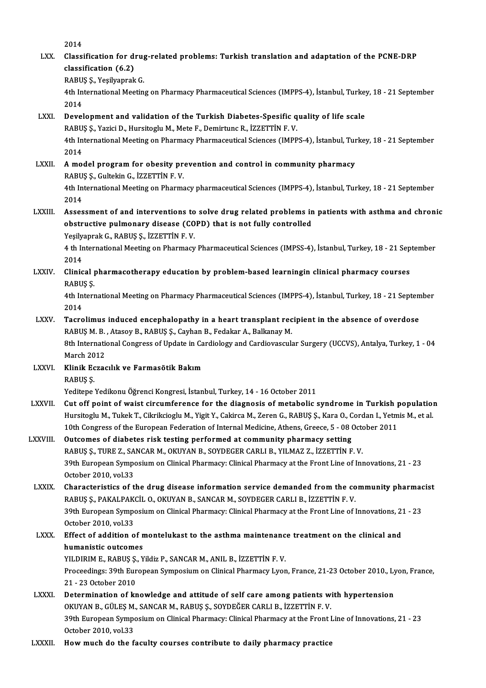|              | 2014                                                                                                                              |
|--------------|-----------------------------------------------------------------------------------------------------------------------------------|
| LXX.         | Classification for drug-related problems: Turkish translation and adaptation of the PCNE-DRP                                      |
|              | classification (6.2)<br>RABUŞ Ş., Yeşilyaprak G.                                                                                  |
|              | 4th International Meeting on Pharmacy Pharmaceutical Sciences (IMPPS-4), İstanbul, Turkey, 18 - 21 September                      |
|              | 2014                                                                                                                              |
| LXXI.        | Development and validation of the Turkish Diabetes-Spesific quality of life scale                                                 |
|              | RABUȘ Ș., Yazici D., Hursitoglu M., Mete F., Demirtunc R., İZZETTİN F.V.                                                          |
|              | 4th International Meeting on Pharmacy Pharmaceutical Sciences (IMPPS-4), İstanbul, Turkey, 18 - 21 September                      |
|              | 2014                                                                                                                              |
| <b>LXXII</b> | A model program for obesity prevention and control in community pharmacy                                                          |
|              | RABUŞ Ş., Gultekin G., İZZETTİN F. V.                                                                                             |
|              | 4th International Meeting on Pharmacy pharmaceutical Sciences (IMPPS-4), İstanbul, Turkey, 18 - 21 September                      |
|              | 2014                                                                                                                              |
| LXXIII.      | Assessment of and interventions to solve drug related problems in patients with asthma and chronic                                |
|              | obstructive pulmonary disease (COPD) that is not fully controlled<br>Yeşilyaprak G., RABUŞ Ş., İZZETTİN F.V.                      |
|              | 4 th International Meeting on Pharmacy Pharmaceutical Sciences (IMPSS-4), İstanbul, Turkey, 18 - 21 September                     |
|              | 2014                                                                                                                              |
| <b>LXXIV</b> | Clinical pharmacotherapy education by problem-based learningin clinical pharmacy courses                                          |
|              | RABUŞ Ş.                                                                                                                          |
|              | 4th International Meeting on Pharmacy Pharmaceutical Sciences (IMPPS-4), İstanbul, Turkey, 18 - 21 September                      |
|              | 2014                                                                                                                              |
| <b>LXXV</b>  | Tacrolimus induced encephalopathy in a heart transplant recipient in the absence of overdose                                      |
|              | RABUŞ M. B., Atasoy B., RABUŞ Ş., Cayhan B., Fedakar A., Balkanay M.                                                              |
|              | 8th International Congress of Update in Cardiology and Cardiovascular Surgery (UCCVS), Antalya, Turkey, 1 - 04                    |
|              | March 2012                                                                                                                        |
| <b>LXXVI</b> | Klinik Eczacılık ve Farmasötik Bakım<br>RABUŞ Ş                                                                                   |
|              | Yeditepe Yedikonu Öğrenci Kongresi, İstanbul, Turkey, 14 - 16 October 2011                                                        |
| LXXVII.      | Cut off point of waist circumference for the diagnosis of metabolic syndrome in Turkish population                                |
|              | Hursitoglu M., Tukek T., Cikrikcioglu M., Yigit Y., Cakirca M., Zeren G., RABUŞ Ş., Kara O., Cordan I., Yetmis M., et al.         |
|              | 10th Congress of the European Federation of Internal Medicine, Athens, Greece, 5 - 08 October 2011                                |
| LXXVIII.     | Outcomes of diabetes risk testing performed at community pharmacy setting                                                         |
|              | RABUS S., TURE Z., SANCAR M., OKUYAN B., SOYDEGER CARLI B., YILMAZ Z., İZZETTİN F.V.                                              |
|              | 39th European Symposium on Clinical Pharmacy: Clinical Pharmacy at the Front Line of Innovations, 21 - 23                         |
|              | October 2010, vol.33                                                                                                              |
| <b>LXXIX</b> | Characteristics of the drug disease information service demanded from the community pharmacist                                    |
|              | RABUŞ Ş., PAKALPAKCİL O., OKUYAN B., SANCAR M., SOYDEGER CARLI B., İZZETTİN F. V.                                                 |
|              | 39th European Symposium on Clinical Pharmacy: Clinical Pharmacy at the Front Line of Innovations, 21 - 23<br>October 2010, vol 33 |
| <b>LXXX</b>  | Effect of addition of montelukast to the asthma maintenance treatment on the clinical and                                         |
|              | humanistic outcomes                                                                                                               |
|              | YILDIRIM E, RABUŞ Ş., Yildiz P., SANCAR M., ANIL B., İZZETTİN F. V.                                                               |
|              | Proceedings: 39th European Symposium on Clinical Pharmacy Lyon, France, 21-23 October 2010., Lyon, France,                        |
|              | 21 - 23 October 2010                                                                                                              |
| <b>LXXXI</b> | Determination of knowledge and attitude of self care among patients with hypertension                                             |
|              | OKUYAN B., GÜLEŞ M., SANCAR M., RABUŞ Ş., SOYDEĞER CARLI B., İZZETTİN F. V.                                                       |
|              | 39th European Symposium on Clinical Pharmacy: Clinical Pharmacy at the Front Line of Innovations, 21 - 23                         |
| i vvvii      | October 2010, vol.33<br>How much do the feculty counses contribute to deily phormecy prostice                                     |
|              |                                                                                                                                   |

LXXXII. How much do the faculty courses contribute to daily pharmacy practice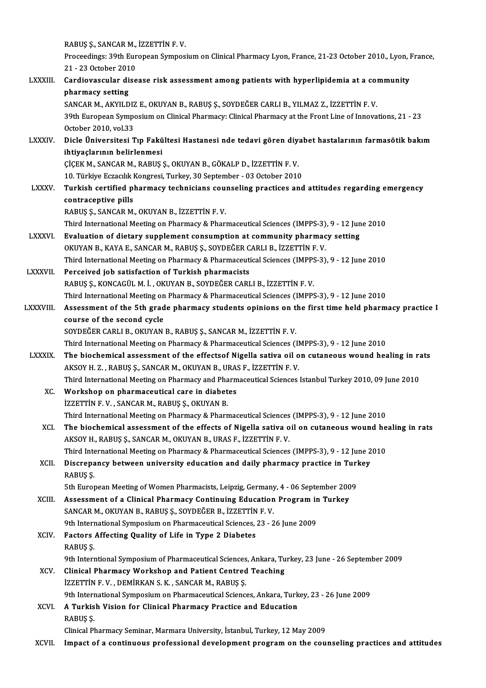RABUŞ Ş., SANCAR M., İZZETTİN F. V.<br>Presesdingsı 20th European Sumpes

RABUŞ Ş., SANCAR M., İZZETTİN F. V.<br>Proceedings: 39th European Symposium on Clinical Pharmacy Lyon, France, 21-23 October 2010., Lyon, France, RABUŞ Ş., SANCAR M.,<br>Proceedings: 39th Eur<br>21 - 23 October 2010<br>Candiousesular dise Proceedings: 39th European Symposium on Clinical Pharmacy Lyon, France, 21-23 October 2010., Lyon, I<br>21 - 23 October 2010<br>LXXXIII. Cardiovascular disease risk assessment among patients with hyperlipidemia at a community<br>nh 21 - 23 October 2010

| <b>LXXXIII</b>  | Cardiovascular disease risk assessment among patients with hyperlipidemia at a community                                                                                |
|-----------------|-------------------------------------------------------------------------------------------------------------------------------------------------------------------------|
|                 | pharmacy setting                                                                                                                                                        |
|                 | SANCAR M., AKYILDIZ E., OKUYAN B., RABUŞ Ş., SOYDEĞER CARLI B., YILMAZ Z., İZZETTİN F. V.                                                                               |
|                 | 39th European Symposium on Clinical Pharmacy: Clinical Pharmacy at the Front Line of Innovations, 21 - 23                                                               |
|                 | October 2010, vol.33                                                                                                                                                    |
| <b>LXXXIV</b>   | Dicle Üniversitesi Tıp Fakültesi Hastanesi nde tedavi gören diyabet hastalarının farmasötik bakım                                                                       |
|                 | ihtiyaçlarının belirlenmesi                                                                                                                                             |
|                 | ÇİÇEK M., SANCAR M., RABUŞ Ş., OKUYAN B., GÖKALP D., İZZETTİN F. V.                                                                                                     |
|                 | 10. Türkiye Eczacılık Kongresi, Turkey, 30 September - 03 October 2010                                                                                                  |
| <b>LXXXV</b>    | Turkish certified pharmacy technicians counseling practices and attitudes regarding emergency                                                                           |
|                 | contraceptive pills                                                                                                                                                     |
|                 | RABUŞ Ş., SANCAR M., OKUYAN B., İZZETTİN F.V.                                                                                                                           |
|                 | Third International Meeting on Pharmacy & Pharmaceutical Sciences (IMPPS-3), 9 - 12 June 2010                                                                           |
| LXXXVI.         | Evaluation of dietary supplement consumption at community pharmacy setting                                                                                              |
|                 | OKUYAN B., KAYA E., SANCAR M., RABUŞ Ş., SOYDEĞER CARLI B., İZZETTİN F.V.                                                                                               |
|                 | Third International Meeting on Pharmacy & Pharmaceutical Sciences (IMPPS-3), 9 - 12 June 2010                                                                           |
| <b>LXXXVII.</b> | Perceived job satisfaction of Turkish pharmacists                                                                                                                       |
|                 | RABUŞ Ş., KONCAGÜL M. İ., OKUYAN B., SOYDEĞER CARLI B., İZZETTİN F. V.                                                                                                  |
|                 | Third International Meeting on Pharmacy & Pharmaceutical Sciences (IMPPS-3), 9 - 12 June 2010                                                                           |
| LXXXVIII.       | Assessment of the 5th grade pharmacy students opinions on the first time held pharmacy practice I                                                                       |
|                 | course of the second cycle                                                                                                                                              |
|                 | SOYDEĞER CARLI B., OKUYAN B., RABUŞ Ş., SANCAR M., İZZETTİN F. V.                                                                                                       |
|                 | Third International Meeting on Pharmacy & Pharmaceutical Sciences (IMPPS-3), 9 - 12 June 2010                                                                           |
| LXXXIX.         | The biochemical assessment of the effectsof Nigella sativa oil on cutaneous wound healing in rats                                                                       |
|                 | AKSOY H. Z., RABUŞ Ş., SANCAR M., OKUYAN B., URAS F., İZZETTİN F. V.                                                                                                    |
|                 | Third International Meeting on Pharmacy and Pharmaceutical Sciences Istanbul Turkey 2010, 09 June 2010                                                                  |
| XC.             | Workshop on pharmaceutical care in diabetes                                                                                                                             |
|                 | İZZETTİN F.V., SANCAR M., RABUŞ Ş., OKUYAN B.                                                                                                                           |
|                 | Third International Meeting on Pharmacy & Pharmaceutical Sciences (IMPPS-3), 9 - 12 June 2010                                                                           |
| XCI.            | The biochemical assessment of the effects of Nigella sativa oil on cutaneous wound healing in rats<br>AKSOY H., RABUŞ Ş., SANCAR M., OKUYAN B., URAS F., İZZETTİN F. V. |
|                 | Third International Meeting on Pharmacy & Pharmaceutical Sciences (IMPPS-3), 9 - 12 June 2010                                                                           |
| XCII.           | Discrepancy between university education and daily pharmacy practice in Turkey                                                                                          |
|                 | RABUŞ Ş.                                                                                                                                                                |
|                 | 5th European Meeting of Women Pharmacists, Leipzig, Germany, 4 - 06 September 2009                                                                                      |
| XCIII.          | Assessment of a Clinical Pharmacy Continuing Education Program in Turkey                                                                                                |
|                 | SANCAR M., OKUYAN B., RABUŞ Ş., SOYDEĞER B., İZZETTİN F. V.                                                                                                             |
|                 | 9th International Symposium on Pharmaceutical Sciences, 23 - 26 June 2009                                                                                               |
| XCIV.           | Factors Affecting Quality of Life in Type 2 Diabetes                                                                                                                    |
|                 | RABUŞ Ş.                                                                                                                                                                |
|                 | 9th Interntional Symposium of Pharmaceutical Sciences, Ankara, Turkey, 23 June - 26 September 2009                                                                      |
| XCV.            | Clinical Pharmacy Workshop and Patient Centred Teaching                                                                                                                 |
|                 | İZZETTİN F.V., DEMİRKAN S.K., SANCAR M., RABUŞ Ş.                                                                                                                       |
|                 | 9th International Symposium on Pharmaceutical Sciences, Ankara, Turkey, 23 - 26 June 2009                                                                               |
|                 |                                                                                                                                                                         |
| XCVI.           | A Turkish Vision for Clinical Pharmacy Practice and Education<br>RABUŞ Ş.                                                                                               |
|                 | Clinical Pharmacy Seminar, Marmara University, İstanbul, Turkey, 12 May 2009                                                                                            |
|                 |                                                                                                                                                                         |
| XCVII.          | Impact of a continuous professional development program on the counseling practices and attitudes                                                                       |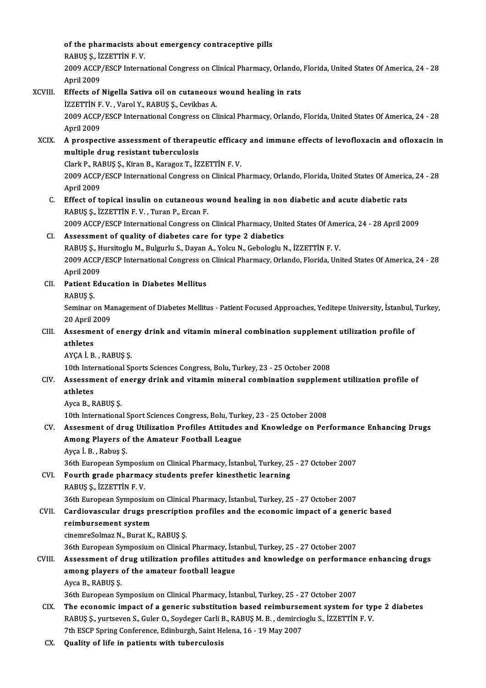of the pharmacists about emergency contraceptive pills of the pharmacists ab<br>RABUŞ Ş., İZZETTİN F. V.<br>2000 ACCB (ESCB Interne 2009 ACCP/ESCP International Congress on Clinical Pharmacy, Orlando, Florida, United States Of America, 24 - 28<br>April 2009 RABUŞ Ş., İZ<br>2009 ACCP,<br>April 2009<br>Effects of XCVIII. Effects of Nigella Sativa oil on cutaneous wound healing in rats April 2009<br>Effects of Nigella Sativa oil on cutaneous<br>İZZETTİN F. V. , Varol Y., RABUŞ Ş., Cevikbas A.<br>2009 ACCR/ESCR International Congress on Cl 2009 ACCP/ESCP International Congress on Clinical Pharmacy, Orlando, Florida, United States Of America, 24 - 28<br>April 2009 **izzettin F**<br>2009 ACCP,<br>April 2009 2009 ACCP/ESCP International Congress on Clinical Pharmacy, Orlando, Florida, United States Of America, 24 - 28<br>April 2009<br>XCIX. A prospective assessment of therapeutic efficacy and immune effects of levofloxacin and oflox April 2009<br>A prospective assessment of therape<br>multiple drug resistant tuberculosis<br>Clark B, BAPUS S, Kiran B, Karageg T, 17 A prospective assessment of therapeutic efficac<br>multiple drug resistant tuberculosis<br>Clark P., RABUŞ Ş., Kiran B., Karagoz T., İZZETTİN F. V.<br>2009 ACCB/ESCR International Congress on Clinical Bl multiple drug resistant tuberculosis<br>Clark P., RABUŞ Ş., Kiran B., Karagoz T., İZZETTİN F. V.<br>2009 ACCP/ESCP International Congress on Clinical Pharmacy, Orlando, Florida, United States Of America, 24 - 28<br>April 2009 Clark P., RABUS S., Kiran B., Karagoz T., İZZETTİN F. V. 2009 ACCP/ESCP International Congress on Clinical Pharmacy, Orlando, Florida, United States Of Americ:<br>April 2009<br>C. Effect of topical insulin on cutaneous wound healing in non diabetic and acute diabetic rats<br>RABUS S. 177 April 2009<br>Effect of topical insulin on cutaneous v<br>RABUŞ Ş., İZZETTİN F. V. , Turan P., Ercan F.<br>2009 ACCB/ESCR International Congress on Effect of topical insulin on cutaneous wound healing in non diabetic and acute diabetic rats<br>RABUŞ Ş., İZZETTİN F. V. , Turan P., Ercan F.<br>2009 ACCP/ESCP International Congress on Clinical Pharmacy, United States Of Americ RABUŞ Ş., İZZETTİN F. V. , Turan P., Ercan F.<br>2009 ACCP/ESCP International Congress on Clinical Pharmacy, United States Of Ame<br>CI. Assessment of quality of diabetes care for type 2 diabetics<br>RABUS S., Hursitoglu M., Bulgur 2009 ACCP/ESCP International Congress on Clinical Pharmacy, United States Of America, 24 - 28 April 2009 Assessment of quality of diabetes care for type 2 diabetics<br>RABUŞ Ş., Hursitoglu M., Bulgurlu S., Dayan A., Yolcu N., Gebologlu N., İZZETTİN F. V.<br>2009 ACCP/ESCP International Congress on Clinical Pharmacy, Orlando, Florid RABUŞ Ş., H<br>2009 ACCP,<br>April 2009<br>Patiant Ed CII. Patient Education in Diabetes Mellitus<br>RABUS S. April 2009 Patient Education in Diabetes Mellitus<br>RABUŞ Ş.<br>Seminar on Management of Diabetes Mellitus - Patient Focused Approaches, Yeditepe University, İstanbul, Turkey, RABUŞ Ş.<br>Seminar on Ma<br>20 April 2009<br>Assesment of Seminar on Management of Diabetes Mellitus - Patient Focused Approaches, Yeditepe University, İstanbul, '<br>20 April 2009<br>CIII. Assesment of energy drink and vitamin mineral combination supplement utilization profile of 20 April 2<br>Assesme<br>athletes<br>AVCA <sup>†</sup> P Assesment of ener<br>athletes<br>AYÇA İ.B. , RABUŞ Ş.<br>10th International Sr athletes<br>AYÇA İ. B. , RABUŞ Ş.<br>10th International Sports Sciences Congress, Bolu, Turkey, 23 - 25 October 2008 AYÇA İ. B. , RABUŞ Ş.<br>10th International Sports Sciences Congress, Bolu, Turkey, 23 - 25 October 2008<br>CIV. Assessment of energy drink and vitamin mineral combination supplement utilization profile of<br>1. 10th Inter<br>Assessm<br>athletes<br>Avec B B Assessment of e<br>athletes<br>Ayca B., RABUŞ Ş.<br>10th Internationa athletes<br>Ayca B., RABUŞ Ş.<br>10th International Sport Sciences Congress, Bolu, Turkey, 23 - 25 October 2008<br>Assesment of duys Utilization Profiles Attitudes and Knowledge on Ben Ayca B., RABUŞ Ş.<br>10th International Sport Sciences Congress, Bolu, Turkey, 23 - 25 October 2008<br>CV. Assesment of drug Utilization Profiles Attitudes and Knowledge on Performance Enhancing Drugs<br>Among Playars of the Amotou 10th International Sport Sciences Congress, Bolu, Turk<br>Assesment of drug Utilization Profiles Attitudes<br>Among Players of the Amateur Football League Assesment of dru<br>Among Players o<br>Ayça İ. B. , Rabuş Ş.<br>26th Euroneen Sum Among Players of the Amateur Football League<br>Ayça İ. B. , Rabuş Ş.<br>36th European Symposium on Clinical Pharmacy, İstanbul, Turkey, 25 - 27 October 2007 CVI. Fourth grade pharmacy students prefer kinesthetic learning RABUŞ Ş., İZZETTİN F.V. 36 Fourth grade pharmacy students prefer kinesthetic learning<br>36th European Symposium on Clinical Pharmacy, İstanbul, Turkey, 25 - 27 October 2007<br>Cardiouascular drugs prescription prefiles and the esenemis impast of a sen RABUŞ Ş., İZZETTİN F. V.<br>36th European Symposium on Clinical Pharmacy, İstanbul, Turkey, 25 - 27 October 2007<br>CVII. Cardiovascular drugs prescription profiles and the economic impact of a generic based<br>reimburesment system 36th European Symposium<br>Cardiovascular drugs preimbursement system<br>sinemreSelmer N. Buret K Cardiovascular drugs prescriptio<br>reimbursement system<br>cinemreSolmaz N., Burat K., RABUŞ Ş.<br>26th European Symposium op Clinice reimbursement system<br>cinemreSolmaz N., Burat K., RABUŞ Ş.<br>36th European Symposium on Clinical Pharmacy, İstanbul, Turkey, 25 - 27 October 2007<br>Assessment of drug utilization profiles ettitudes and knowledge en performan cinemreSolmaz N., Burat K., RABUŞ Ş.<br>36th European Symposium on Clinical Pharmacy, İstanbul, Turkey, 25 - 27 October 2007<br>CVIII. Assessment of drug utilization profiles attitudes and knowledge on performance enhancing drug 36th European Symposium on Clinical Pharmacy, İst<br>Assessment of drug utilization profiles attitud<br>among players of the amateur football league<br>Avec B, BARUS S Assessment of c<br>among players<br>Ayca B., RABUŞ Ş.<br>26th Euroneen Su among players of the amateur football league<br>Ayca B., RABUŞ Ş.<br>36th European Symposium on Clinical Pharmacy, İstanbul, Turkey, 25 - 27 October 2007 Ayca B., RABUŞ Ş.<br>36th European Symposium on Clinical Pharmacy, İstanbul, Turkey, 25 - 27 October 2007<br>CIX. The economic impact of a generic substitution based reimbursement system for type 2 diabetes<br>RABUS S. UNITES INCRE 36th European Symposium on Clinical Pharmacy, İstanbul, Turkey, 25 - 27 October 2007<br>The economic impact of a generic substitution based reimbursement system for tyj<br>RABUŞ Ş., yurtseven S., Guler O., Soydeger Carli B., RAB The economic impact of a generic substitution based reimburser<br>RABUŞ Ş., yurtseven S., Guler O., Soydeger Carli B., RABUŞ M. B. , demircic<br>7th ESCP Spring Conference, Edinburgh, Saint Helena, 16 - 19 May 2007<br>Quality of li RABUŞ Ş., yurtseven S., Guler O., Soydeger Carli B., RABUŞ M. B. , demircioglu S., İZZETTİN F. V.<br>7th ESCP Spring Conference, Edinburgh, Saint Helena, 16 - 19 May 2007<br>CX. Quality of life in patients with tuberculosis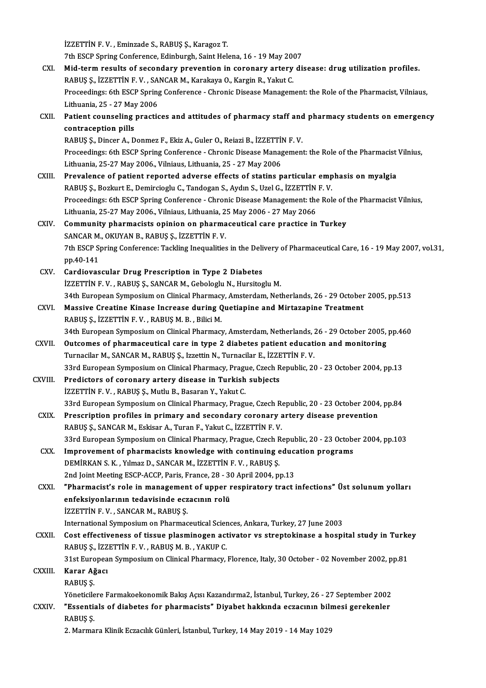İZZETTİNF.V. ,Eminzade S.,RABUŞ Ş.,KaragozT.

izzETTİN F. V. , Eminzade S., RABUŞ Ş., Karagoz T.<br>7th ESCP Spring Conference, Edinburgh, Saint Helena, 16 - 19 May 2007<br>Mid term results of sesendoru prevention in serenaru ertenu di

- CXI. Mid-term results of secondary prevention in coronary artery disease: drug utilization profiles. 7th ESCP Spring Conference, Edinburgh, Saint Helena, 16 - 19 May 200<br>Mid-term results of secondary prevention in coronary artery<br>RABUŞ Ş., İZZETTİN F. V. , SANCAR M., Karakaya O., Kargin R., Yakut C.<br>Preseedings: 6th ESCP Proceedings: 6th ESCP Spring Conference - Chronic Disease Management: the Role of the Pharmacist, Vilniaus, Lithuania, 25 - 27 May 2006 RABUS S., İZZETTİN F. V., SANCAR M., Karakaya O., Kargin R., Yakut C. Proceedings: 6th ESCP Spring Conference - Chronic Disease Management: the Role of the Pharmacist, Vilniaus,<br>Lithuania, 25 - 27 May 2006<br>CXII. Patient counseling practices and attitudes of pharmacy staff and pharmacy studen
- Lithuania, 25 27 May<br>Patient counseling<br>contraception pills<br>PAPUS S. Dincer A. D Patient counseling practices and attitudes of pharmacy staff and<br>contraception pills<br>RABUŞ Ş., Dincer A., Donmez F., Ekiz A., Guler O., Reiazi B., İZZETTİN F. V.<br>Prasasdings: 6th ESCP Spring Conference, Chronis Disease Man

contraception pills<br>RABUŞ Ş., Dincer A., Donmez F., Ekiz A., Guler O., Reiazi B., İZZETTİN F. V.<br>Proceedings: 6th ESCP Spring Conference - Chronic Disease Management: the Role of the Pharmacist Vilnius,<br>Lithuania, 25, 27 M RABUŞ Ş., Dincer A., Donmez F., Ekiz A., Guler O., Reiazi B., İZZETTİI<br>Proceedings: 6th ESCP Spring Conference - Chronic Disease Manag<br>Lithuania, 25-27 May 2006., Vilniaus, Lithuania, 25 - 27 May 2006<br>Provalonge of patient Proceedings: 6th ESCP Spring Conference - Chronic Disease Management: the Role of the Pharmacist<br>Lithuania, 25-27 May 2006, Vilniaus, Lithuania, 25 - 27 May 2006<br>CXIII. Prevalence of patient reported adverse effects of sta

- Lithuania, 25-27 May 2006., Vilniaus, Lithuania, 25 27 May 2006<br>Prevalence of patient reported adverse effects of statins particular emphasis on myalgia<br>RABUŞ Ş., Bozkurt E., Demircioglu C., Tandogan S., Aydın S., Uzel G Prevalence of patient reported adverse effects of statins particular emphasis on myalgia<br>RABUŞ Ş., Bozkurt E., Demircioglu C., Tandogan S., Aydın S., Uzel G., İZZETTİN F. V.<br>Proceedings: 6th ESCP Spring Conference - Chroni RABUŞ Ş., Bozkurt E., Demircioglu C., Tandogan S., Aydın S., Uzel G., İZZETTİN<br>Proceedings: 6th ESCP Spring Conference - Chronic Disease Management: the<br>Lithuania, 25-27 May 2006., Vilniaus, Lithuania, 25 May 2006 - 27 May Proceedings: 6th ESCP Spring Conference - Chronic Disease Management: the Role of the Lithuania, 25-27 May 2006, Vilniaus, Lithuania, 25 May 2006 - 27 May 2066<br>CXIV. Community pharmacists opinion on pharmaceutical care pra Lithuania, 25-27 May 2006., Vilniaus, Lithuania, 25 May 2006 - 27 May 2066<br>Community pharmacists opinion on pharmaceutical care practice in Turkey
- 7th ESCP Spring Conference: Tackling Inequalities in the Delivery of Pharmaceutical Care, 16 19 May 2007, vol.31, pp.40-141 SANCAR M., OKUYAN B., RABUS S., İZZETTİN F. V.
- CXV. Cardiovascular Drug Prescription in Type 2 Diabetes İZZETTİN F.V., RABUŞ Ş., SANCARM., Gebologlu N., Hursitoglu M. 34th European Symposium on Clinical Pharmacy, Amsterdam, Netherlands, 26 - 29 October 2005, pp.513 IZZETTIN F. V. , RABUŞ Ş., SANCAR M., Gebologlu N., Hursitoglu M.<br>34th European Symposium on Clinical Pharmacy, Amsterdam, Netherlands, 26 - 29 October<br>CXVI. Massive Creatine Kinase Increase during Quetiapine and Mirtazapi
- 34th European Symposium on Clinical Pharmacy<br>Massive Creatine Kinase Increase during Q<br>RABUŞ Ş., İZZETTİN F. V. , RABUŞ M. B. , Bilici M.<br>24th European Symposium en Clinical Pharmacy Massive Creatine Kinase Increase during Quetiapine and Mirtazapine Treatment<br>RABUŞ Ş., İZZETTİN F. V. , RABUŞ M. B. , Bilici M.<br>34th European Symposium on Clinical Pharmacy, Amsterdam, Netherlands, 26 - 29 October 2005, pp RABUŞ Ş., İZZETTİN F. V., RABUŞ M. B., Bilici M.<br>34th European Symposium on Clinical Pharmacy, Amsterdam, Netherlands, 26 - 29 October 2005,<br>CXVII. Outcomes of pharmaceutical care in type 2 diabetes patient education and m
- 34th European Symposium on Clinical Pharmacy, Amsterdam, Netherlands, 2<br>Outcomes of pharmaceutical care in type 2 diabetes patient educati<br>Turnacilar M., SANCAR M., RABUŞ Ş., Izzettin N., Turnacilar E., İZZETTİN F. V.<br>22rd Outcomes of pharmaceutical care in type 2 diabetes patient education and monitoring<br>Turnacilar M., SANCAR M., RABUŞ Ş., Izzettin N., Turnacilar E., İZZETTİN F. V.<br>33rd European Symposium on Clinical Pharmacy, Prague, Czech Turnacilar M., SANCAR M., RABUŞ Ş., Izzettin N., Turnacilar E., İZZE<br>33rd European Symposium on Clinical Pharmacy, Prague, Czech R<br>CXVIII. Predictors of coronary artery disease in Turkish subjects<br>177ETTIN E.V., BABUS S. M
- 33rd European Symposium on Clinical Pharmacy, Pragu<br>Predictors of coronary artery disease in Turkish<br>İZZETTİN F.V., RABUŞ Ş., Mutlu B., Basaran Y., Yakut C.<br>22rd European Symposium on Clinical Pharmacy, Pragu izzETTIN F. V. , RABUŞ Ş., Mutlu B., Basaran Y., Yakut C.<br>33rd European Symposium on Clinical Pharmacy, Prague, Czech Republic, 20 - 23 October 2004, pp.84 IZZETTIN F.V., RABUŞ Ş., Mutlu B., Basaran Y., Yakut C.<br>33rd European Symposium on Clinical Pharmacy, Prague, Czech Republic, 20 - 23 October 2004<br>CXIX. Prescription profiles in primary and secondary coronary artery diseas
- 33rd European Symposium on Clinical Pharmacy, Prague, Czech Represcription profiles in primary and secondary coronary and SARUS S., SANCAR M., Eskisar A., Turan F., Yakut C., İZZETTİN F. V.<br>22rd European Symposium en Clini Prescription profiles in primary and secondary coronary artery disease prevention<br>RABUŞ Ş., SANCAR M., Eskisar A., Turan F., Yakut C., İZZETTİN F. V.<br>33rd European Symposium on Clinical Pharmacy, Prague, Czech Republic, 20 RABUŞ Ş., SANCAR M., Eskisar A., Turan F., Yakut C., İZZETTİN F. V.<br>33rd European Symposium on Clinical Pharmacy, Prague, Czech Republic, 20 - 23 Octobe<br>CXX. Improvement of pharmacists knowledge with continuing education p
- 33rd European Symposium on Clinical Pharmacy, Prague, Czech R<br>Improvement of pharmacists knowledge with continuing e<br>DEMİRKAN S. K. , Yılmaz D., SANCAR M., İZZETTİN F. V. , RABUŞ Ş.<br>2nd Jaint Meeting ESCR ACCR Raris Eronge Improvement of pharmacists knowledge with continuing educ:<br>DEMİRKAN S. K. , Yılmaz D., SANCAR M., İZZETTİN F. V. , RABUŞ Ş.<br>2nd Joint Meeting ESCP-ACCP, Paris, France, 28 - 30 April 2004, pp.13<br>"Pharmacist's rola in managa
- DEMİRKAN S. K. , Yılmaz D., SANCAR M., İZZETTİN F. V. , RABUŞ Ş.<br>2nd Joint Meeting ESCP-ACCP, Paris, France, 28 30 April 2004, pp.13<br>CXXI. "Pharmacist's role in management of upper respiratory tract infections" Üst solun 2nd Joint Meeting ESCP-ACCP, Paris, France, 28 - 30<br>"Pharmacist's role in management of upper renfeksiyonlarının tedavisinde eczacının rolü<br>İZZETTİN E.V., SANCAR M. RARIS S "Pharmacist's role in managemen<br>enfeksiyonlarının tedavisinde ecz<br>İZZETTİN F.V., SANCAR M., RABUŞ Ş.<br>International Sumnosium on Pharmac enfeksiyonlarının tedavisinde eczacının rolü<br>İZZETTİN F. V. , SANCAR M., RABUŞ Ş.<br>International Symposium on Pharmaceutical Sciences, Ankara, Turkey, 27 June 2003<br>Cost offectiveness of tissue plasminesse astivator vs strep

IZZETTIN F. V. , SANCAR M., RABUŞ Ş.<br>International Symposium on Pharmaceutical Sciences, Ankara, Turkey, 27 June 2003<br>CXXII. Cost effectiveness of tissue plasminogen activator vs streptokinase a hospital study in Turkey<br>PA International Symposium on Pharmaceutical Scien<br>Cost effectiveness of tissue plasminogen act<br>RABUŞ Ş., İZZETTİN F. V. , RABUŞ M. B. , YAKUP C.<br>21st European Symposium on Clinical Pharmacy. Cost effectiveness of tissue plasminogen activator vs streptokinase a hospital study in Turke<br>RABUŞ Ş., İZZETTİN F. V. , RABUŞ M. B. , YAKUP C.<br>31st European Symposium on Clinical Pharmacy, Florence, Italy, 30 October - 02

RABUŞ Ş., İZZETTİN F. V. , RABUŞ M. B. , YAKUP C.<br>31st European Symposium on Clinical Pharmacy,<br>CXXIII. Karar Ağacı<br>RABUS S. 31st European Symposium on Clinical Pharmacy, Florence, Italy, 30 October - 02 November 2002, pp.81 Karar Ağacı<br>RABUŞ Ş.<br>Yöneticilere Farmakoekonomik Bakış Açısı Kazandırma2, İstanbul, Turkey, 26 - 27 September 2002<br>"Fasentiale of diabates far pharmasista". Diyabet baklında estasının bilmesi gerekenler

RABUŞ Ş.<br>Yöneticilere Farmakoekonomik Bakış Açısı Kazandırma2, İstanbul, Turkey, 26 - 27 September 2002<br>CXXIV. "Essentials of diabetes for pharmacists" Diyabet hakkında eczacının bilmesi gerekenler<br>PARUS S Yöneticile<br>"Essenti:<br>RABUŞ Ş.<br>2 Marma "Essentials of diabetes for pharmacists" Diyabet hakkında eczacının bilmesi gerekenler<br>RABUŞ Ş.<br>2. Marmara Klinik Eczacılık Günleri, İstanbul, Turkey, 14 May 2019 - 14 May 1029